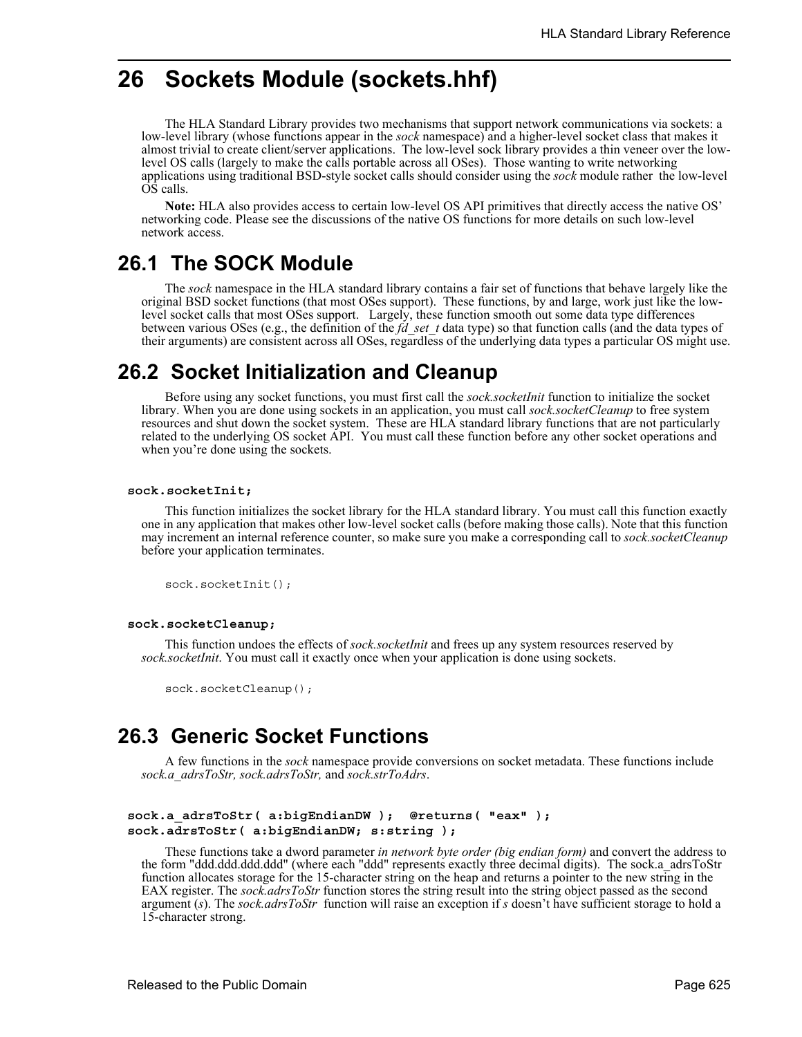# **26 Sockets Module (sockets.hhf)**

The HLA Standard Library provides two mechanisms that support network communications via sockets: a low-level library (whose functions appear in the *sock* namespace) and a higher-level socket class that makes it almost trivial to create client/server applications. The low-level sock library provides a thin veneer over the lowlevel OS calls (largely to make the calls portable across all OSes). Those wanting to write networking applications using traditional BSD-style socket calls should consider using the *sock* module rather the low-level OS calls.

**Note:** HLA also provides access to certain low-level OS API primitives that directly access the native OS' networking code. Please see the discussions of the native OS functions for more details on such low-level network access.

# **26.1 The SOCK Module**

The *sock* namespace in the HLA standard library contains a fair set of functions that behave largely like the original BSD socket functions (that most OSes support). These functions, by and large, work just like the lowlevel socket calls that most OSes support. Largely, these function smooth out some data type differences between various OSes (e.g., the definition of the *fd\_set\_t* data type) so that function calls (and the data types of their arguments) are consistent across all OSes, regardless of the underlying data types a particular OS might use.

# **26.2 Socket Initialization and Cleanup**

Before using any socket functions, you must first call the *sock.socketInit* function to initialize the socket library. When you are done using sockets in an application, you must call *sock.socketCleanup* to free system resources and shut down the socket system. These are HLA standard library functions that are not particularly related to the underlying OS socket API. You must call these function before any other socket operations and when you're done using the sockets.

## **sock.socketInit;**

This function initializes the socket library for the HLA standard library. You must call this function exactly one in any application that makes other low-level socket calls (before making those calls). Note that this function may increment an internal reference counter, so make sure you make a corresponding call to *sock.socketCleanup* before your application terminates.

```
sock.socketInit();
```
#### **sock.socketCleanup;**

This function undoes the effects of *sock.socketInit* and frees up any system resources reserved by *sock.socketInit*. You must call it exactly once when your application is done using sockets.

sock.socketCleanup();

# **26.3 Generic Socket Functions**

A few functions in the *sock* namespace provide conversions on socket metadata. These functions include *sock.a\_adrsToStr, sock.adrsToStr,* and *sock.strToAdrs*.

```
sock.a_adrsToStr( a:bigEndianDW ); @returns( "eax" );
sock.adrsToStr( a:bigEndianDW; s:string );
```
These functions take a dword parameter *in network byte order (big endian form)* and convert the address to the form "ddd.ddd.ddd.ddd" (where each "ddd" represents exactly three decimal digits). The sock.a\_adrsToStr function allocates storage for the 15-character string on the heap and returns a pointer to the new string in the EAX register. The *sock.adrsToStr* function stores the string result into the string object passed as the second argument (*s*). The *sock.adrsToStr* function will raise an exception if *s* doesn't have sufficient storage to hold a 15-character strong.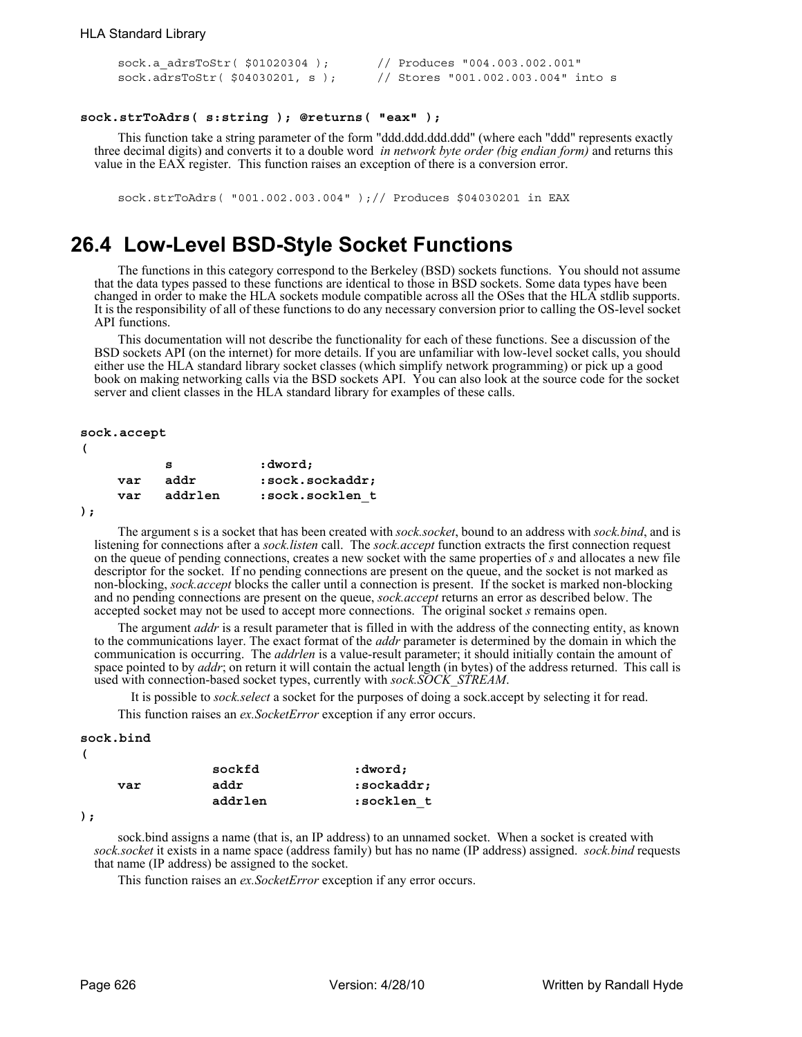```
sock.a_adrsToStr( $01020304 ); // Produces "004.003.002.001"
sock.adrsToStr( $04030201, s ); // Stores "001.002.003.004" into s
```
#### **sock.strToAdrs( s:string ); @returns( "eax" );**

This function take a string parameter of the form "ddd.ddd.ddd.ddd" (where each "ddd" represents exactly three decimal digits) and converts it to a double word *in network byte order (big endian form)* and returns this value in the EAX register. This function raises an exception of there is a conversion error.

sock.strToAdrs( "001.002.003.004" );// Produces \$04030201 in EAX

# **26.4 Low-Level BSD-Style Socket Functions**

The functions in this category correspond to the Berkeley (BSD) sockets functions. You should not assume that the data types passed to these functions are identical to those in BSD sockets. Some data types have been changed in order to make the HLA sockets module compatible across all the OSes that the HLA stdlib supports. It is the responsibility of all of these functions to do any necessary conversion prior to calling the OS-level socket API functions.

This documentation will not describe the functionality for each of these functions. See a discussion of the BSD sockets API (on the internet) for more details. If you are unfamiliar with low-level socket calls, you should either use the HLA standard library socket classes (which simplify network programming) or pick up a good book on making networking calls via the BSD sockets API. You can also look at the source code for the socket server and client classes in the HLA standard library for examples of these calls.

**sock.accept**

**(** 

|     | s       | :dword;         |
|-----|---------|-----------------|
| var | addr    | :sock.sockaddr; |
| var | addrlen | :sock.socklen t |

**);** 

The argument s is a socket that has been created with *sock.socket*, bound to an address with *sock.bind*, and is listening for connections after a *sock.listen* call. The *sock.accept* function extracts the first connection request on the queue of pending connections, creates a new socket with the same properties of *s* and allocates a new file descriptor for the socket. If no pending connections are present on the queue, and the socket is not marked as non-blocking, *sock.accept* blocks the caller until a connection is present. If the socket is marked non-blocking and no pending connections are present on the queue, *sock.accept* returns an error as described below. The accepted socket may not be used to accept more connections. The original socket *s* remains open.

The argument *addr* is a result parameter that is filled in with the address of the connecting entity, as known to the communications layer. The exact format of the *addr* parameter is determined by the domain in which the communication is occurring. The *addrlen* is a value-result parameter; it should initially contain the amount of space pointed to by *addr*; on return it will contain the actual length (in bytes) of the address returned. This call is used with connection-based socket types, currently with *sock.SOCK\_STREAM*.

It is possible to *sock.select* a socket for the purposes of doing a sock.accept by selecting it for read.

This function raises an *ex.SocketError* exception if any error occurs.

#### **sock.bind**

**(** 

|     | sockfd  | :dword;    |
|-----|---------|------------|
| var | addr    | :sockaddr; |
|     | addrlen | :socklen t |

**);**

sock.bind assigns a name (that is, an IP address) to an unnamed socket. When a socket is created with *sock.socket* it exists in a name space (address family) but has no name (IP address) assigned. *sock.bind* requests that name (IP address) be assigned to the socket.

This function raises an *ex.SocketError* exception if any error occurs.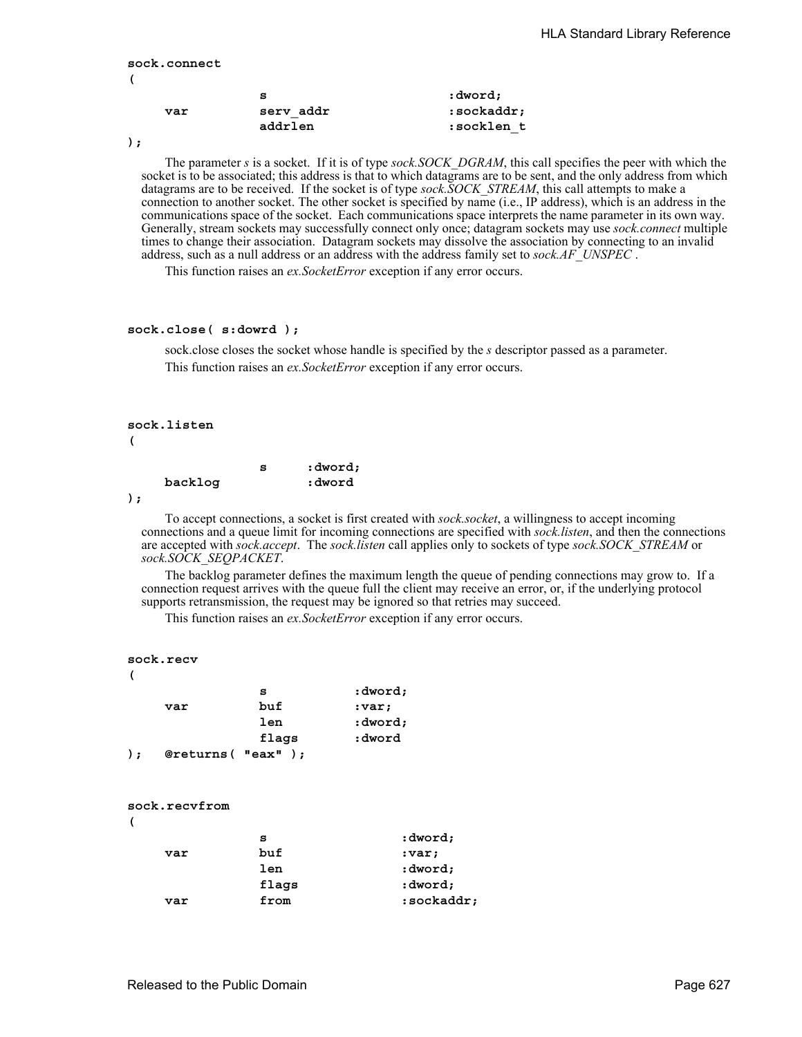## **sock.connect**

|     | s         | :dword;       |
|-----|-----------|---------------|
| var | serv addr | $:$ sockaddr; |
|     | addrlen   | :socklen t    |

**<sup>);</sup>**

**(** 

The parameter *s* is a socket. If it is of type *sock.SOCK DGRAM*, this call specifies the peer with which the socket is to be associated; this address is that to which datagrams are to be sent, and the only address from which datagrams are to be received. If the socket is of type *sock.SOCK STREAM*, this call attempts to make a connection to another socket. The other socket is specified by name (i.e., IP address), which is an address in the communications space of the socket. Each communications space interprets the name parameter in its own way. Generally, stream sockets may successfully connect only once; datagram sockets may use *sock.connect* multiple times to change their association. Datagram sockets may dissolve the association by connecting to an invalid address, such as a null address or an address with the address family set to *sock.AF\_UNSPEC* .

This function raises an *ex.SocketError* exception if any error occurs.

#### **sock.close( s:dowrd );**

sock.close closes the socket whose handle is specified by the *s* descriptor passed as a parameter. This function raises an *ex.SocketError* exception if any error occurs.

#### **sock.listen**

**(** 

|         | s | :dword; |
|---------|---|---------|
| backlog |   | :dword  |

**);**

To accept connections, a socket is first created with *sock.socket*, a willingness to accept incoming connections and a queue limit for incoming connections are specified with *sock.listen*, and then the connections are accepted with *sock.accept*. The *sock.listen* call applies only to sockets of type *sock.SOCK\_STREAM* or *sock.SOCK\_SEQPACKET*.

The backlog parameter defines the maximum length the queue of pending connections may grow to. If a connection request arrives with the queue full the client may receive an error, or, if the underlying protocol supports retransmission, the request may be ignored so that retries may succeed.

This function raises an *ex.SocketError* exception if any error occurs.

## **sock.recv ( s :dword; var buf :var; len :dword; flags :dword ); @returns( "eax" ); sock.recvfrom ( s :dword;**  var buf :var; **len :dword; flags :dword; var from :sockaddr;**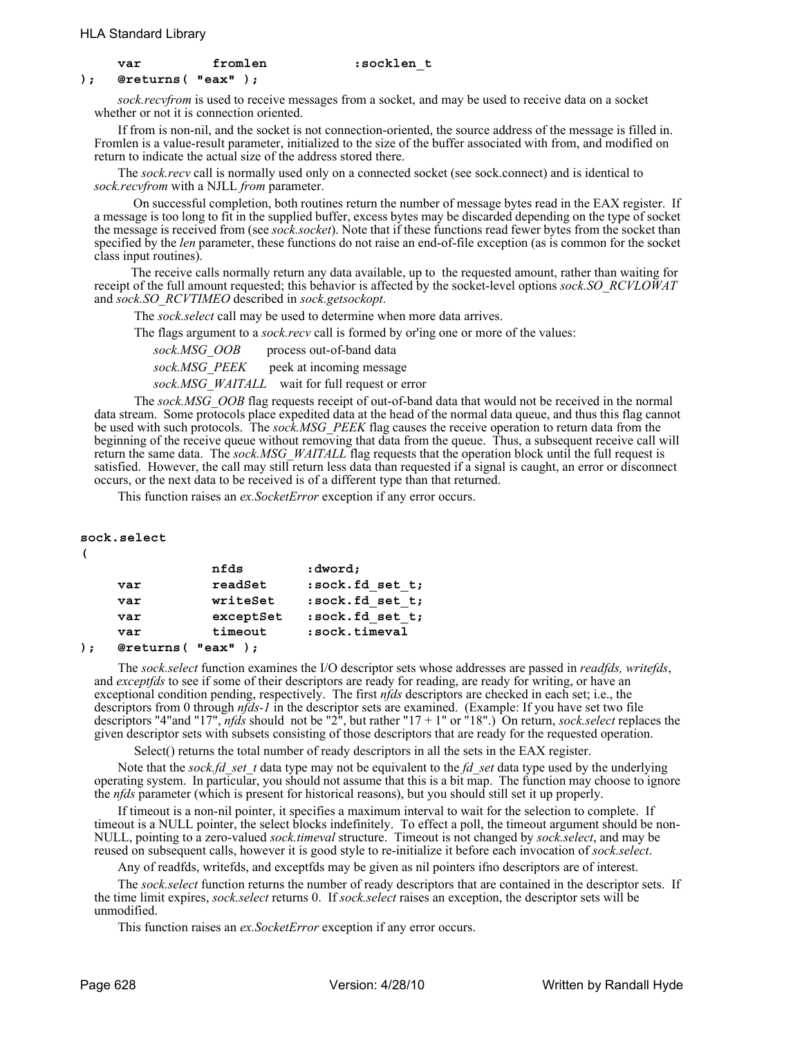## var fromlen :socklen t

## **); @returns( "eax" );**

*sock.recvfrom* is used to receive messages from a socket, and may be used to receive data on a socket whether or not it is connection oriented.

If from is non-nil, and the socket is not connection-oriented, the source address of the message is filled in. Fromlen is a value-result parameter, initialized to the size of the buffer associated with from, and modified on return to indicate the actual size of the address stored there.

The *sock.recv* call is normally used only on a connected socket (see sock.connect) and is identical to *sock.recvfrom* with a NJLL *from* parameter.

 On successful completion, both routines return the number of message bytes read in the EAX register. If a message is too long to fit in the supplied buffer, excess bytes may be discarded depending on the type of socket the message is received from (see *sock.socket*). Note that if these functions read fewer bytes from the socket than specified by the *len* parameter, these functions do not raise an end-of-file exception (as is common for the socket class input routines).

 The receive calls normally return any data available, up to the requested amount, rather than waiting for receipt of the full amount requested; this behavior is affected by the socket-level options *sock.SO\_RCVLOWAT* and *sock.SO\_RCVTIMEO* described in *sock.getsockopt*.

The *sock.select* call may be used to determine when more data arrives.

The flags argument to a *sock.recv* call is formed by or'ing one or more of the values:

 *sock.MSG\_OOB* process out-of-band data *sock.MSG\_PEEK* peek at incoming message *sock.MSG\_WAITALL* wait for full request or error

 The *sock.MSG\_OOB* flag requests receipt of out-of-band data that would not be received in the normal data stream. Some protocols place expedited data at the head of the normal data queue, and thus this flag cannot be used with such protocols. The *sock.MSG\_PEEK* flag causes the receive operation to return data from the beginning of the receive queue without removing that data from the queue. Thus, a subsequent receive call will return the same data. The *sock.MSG\_WAITALL* flag requests that the operation block until the full request is satisfied. However, the call may still return less data than requested if a signal is caught, an error or disconnect occurs, or the next data to be received is of a different type than that returned.

This function raises an *ex.SocketError* exception if any error occurs.

#### **sock.select**

**(** 

|              | nfds      | :dword;            |
|--------------|-----------|--------------------|
| var          | readSet   | $:$ sock.fd set t; |
| var          | writeSet  | :sock.fd set t;    |
| var          | exceptSet | :sock.fd set t;    |
| var          | timeout   | :sock.timeval      |
| . . <i>.</i> |           |                    |

**); @returns( "eax" );**

The *sock.select* function examines the I/O descriptor sets whose addresses are passed in *readfds, writefds*, and *exceptfds* to see if some of their descriptors are ready for reading, are ready for writing, or have an exceptional condition pending, respectively. The first *nfds* descriptors are checked in each set; i.e., the descriptors from 0 through *nfds-1* in the descriptor sets are examined. (Example: If you have set two file descriptors "4"and "17", *nfds* should not be "2", but rather "17 + 1" or "18".) On return, *sock.select* replaces the given descriptor sets with subsets consisting of those descriptors that are ready for the requested operation.

Select() returns the total number of ready descriptors in all the sets in the EAX register.

Note that the *sock.fd\_set\_t* data type may not be equivalent to the *fd\_set* data type used by the underlying operating system. In particular, you should not assume that this is a bit map. The function may choose to ignore the *nfds* parameter (which is present for historical reasons), but you should still set it up properly.

If timeout is a non-nil pointer, it specifies a maximum interval to wait for the selection to complete. If timeout is a NULL pointer, the select blocks indefinitely. To effect a poll, the timeout argument should be non-NULL, pointing to a zero-valued *sock.timeval* structure. Timeout is not changed by *sock.select*, and may be reused on subsequent calls, however it is good style to re-initialize it before each invocation of *sock.select*.

Any of readfds, writefds, and exceptfds may be given as nil pointers ifno descriptors are of interest.

The *sock.select* function returns the number of ready descriptors that are contained in the descriptor sets. If the time limit expires, *sock.select* returns 0. If *sock.select* raises an exception, the descriptor sets will be unmodified.

This function raises an *ex.SocketError* exception if any error occurs.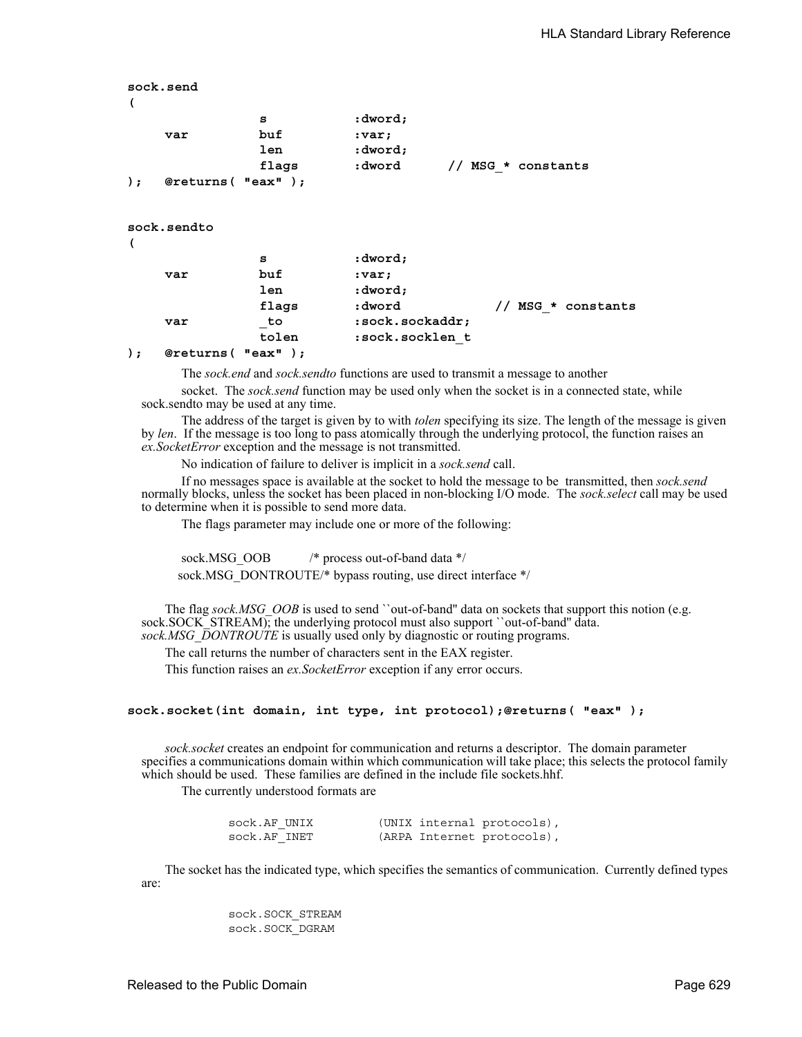```
sock.send
( 
            s :dword; 
   var buf :var;
            len :dword;
            flags :dword // MSG_* constants 
); @returns( "eax" );
sock.sendto
( 
            s :dword; 
   var buf :var;
            len :dword;
            flags :dword // MSG_* constants 
   var to :sock.sockaddr;
            tolen :sock.socklen_t 
); @returns( "eax" );
```
The *sock.end* and *sock.sendto* functions are used to transmit a message to another

socket. The *sock.send* function may be used only when the socket is in a connected state, while sock.sendto may be used at any time.

 The address of the target is given by to with *tolen* specifying its size. The length of the message is given by *len*. If the message is too long to pass atomically through the underlying protocol, the function raises an *ex.SocketError* exception and the message is not transmitted.

No indication of failure to deliver is implicit in a *sock.send* call.

 If no messages space is available at the socket to hold the message to be transmitted, then *sock.send* normally blocks, unless the socket has been placed in non-blocking I/O mode. The *sock.select* call may be used to determine when it is possible to send more data.

The flags parameter may include one or more of the following:

sock.MSG\_OOB /\* process out-of-band data \*/ sock.MSG\_DONTROUTE/\* bypass routing, use direct interface \*/

The flag *sock.MSG\_OOB* is used to send ``out-of-band" data on sockets that support this notion (e.g. sock.SOCK\_STREAM); the underlying protocol must also support ``out-of-band" data. *sock.MSG\_DONTROUTE* is usually used only by diagnostic or routing programs.

The call returns the number of characters sent in the EAX register.

This function raises an *ex.SocketError* exception if any error occurs.

## **sock.socket(int domain, int type, int protocol);@returns( "eax" );**

*sock.socket* creates an endpoint for communication and returns a descriptor. The domain parameter specifies a communications domain within which communication will take place; this selects the protocol family which should be used. These families are defined in the include file sockets.hhf.

The currently understood formats are

| sock.AF UNIX |  | (UNIX internal protocols), |
|--------------|--|----------------------------|
| sock.AF INET |  | (ARPA Internet protocols), |

The socket has the indicated type, which specifies the semantics of communication. Currently defined types are:

> sock.SOCK\_STREAM sock.SOCK\_DGRAM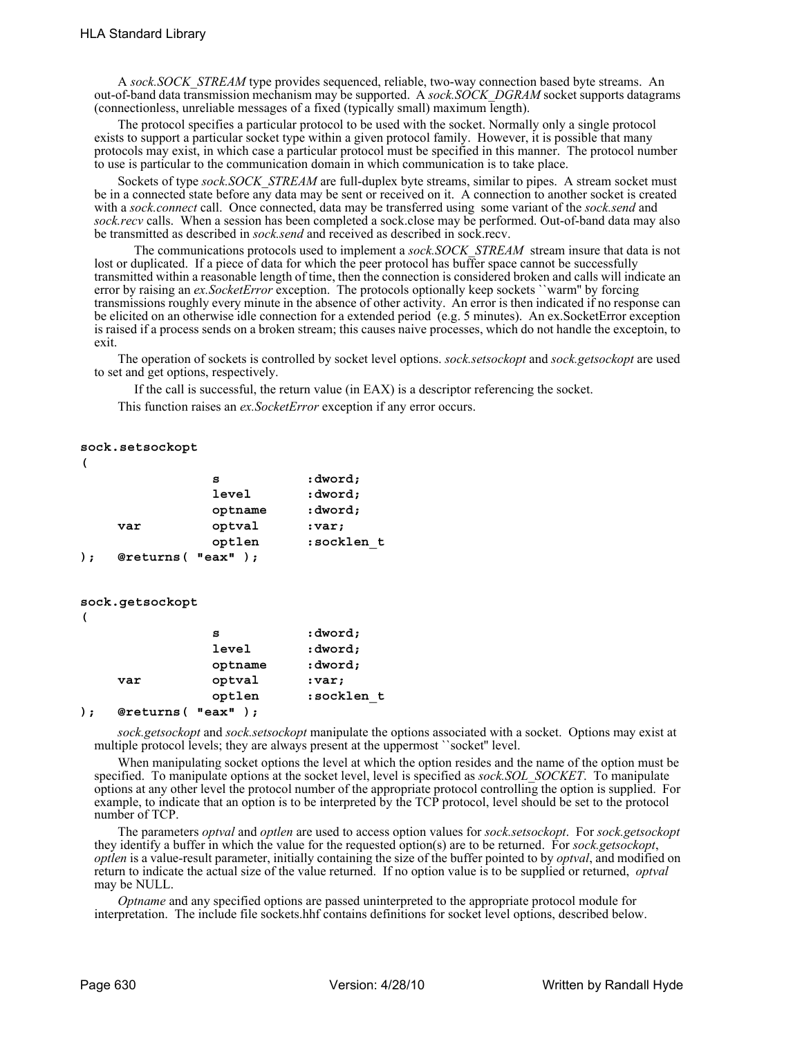A *sock.SOCK\_STREAM* type provides sequenced, reliable, two-way connection based byte streams. An out-of-band data transmission mechanism may be supported. A *sock.SOCK\_DGRAM* socket supports datagrams (connectionless, unreliable messages of a fixed (typically small) maximum length).

The protocol specifies a particular protocol to be used with the socket. Normally only a single protocol exists to support a particular socket type within a given protocol family. However, it is possible that many protocols may exist, in which case a particular protocol must be specified in this manner. The protocol number to use is particular to the communication domain in which communication is to take place.

Sockets of type *sock.SOCK\_STREAM* are full-duplex byte streams, similar to pipes. A stream socket must be in a connected state before any data may be sent or received on it. A connection to another socket is created with a *sock.connect* call. Once connected, data may be transferred using some variant of the *sock.send* and *sock.recv* calls. When a session has been completed a sock.close may be performed. Out-of-band data may also be transmitted as described in *sock.send* and received as described in sock.recv.

 The communications protocols used to implement a *sock.SOCK\_STREAM* stream insure that data is not lost or duplicated. If a piece of data for which the peer protocol has buffer space cannot be successfully transmitted within a reasonable length of time, then the connection is considered broken and calls will indicate an error by raising an *ex.SocketError* exception. The protocols optionally keep sockets ``warm'' by forcing transmissions roughly every minute in the absence of other activity. An error is then indicated if no response can be elicited on an otherwise idle connection for a extended period (e.g. 5 minutes). An ex.SocketError exception is raised if a process sends on a broken stream; this causes naive processes, which do not handle the exceptoin, to exit.

The operation of sockets is controlled by socket level options. *sock.setsockopt* and *sock.getsockopt* are used to set and get options, respectively.

 If the call is successful, the return value (in EAX) is a descriptor referencing the socket. This function raises an *ex.SocketError* exception if any error occurs.

#### **sock.setsockopt**

|     |                  | s             | :dword;    |
|-----|------------------|---------------|------------|
|     |                  | level         | :dword;    |
|     |                  | optname       | :dword;    |
|     | var              | optval        | :var;      |
|     |                  | optlen        | :socklen t |
| ; ( | @returns ( "eax" | $\rightarrow$ |            |

#### **sock.getsockopt**

#### **(**

|                         | s       | :dword;    |
|-------------------------|---------|------------|
|                         | level   | :dword;    |
|                         | optname | :dword;    |
| var                     | optval  | :var;      |
|                         | optlen  | :socklen t |
| @returns $($ "eax" $);$ |         |            |

*sock.getsockopt* and *sock.setsockopt* manipulate the options associated with a socket. Options may exist at multiple protocol levels; they are always present at the uppermost ``socket'' level.

When manipulating socket options the level at which the option resides and the name of the option must be specified. To manipulate options at the socket level, level is specified as *sock.SOL\_SOCKET*. To manipulate options at any other level the protocol number of the appropriate protocol controlling the option is supplied. For example, to indicate that an option is to be interpreted by the TCP protocol, level should be set to the protocol number of TCP.

The parameters *optval* and *optlen* are used to access option values for *sock.setsockopt*. For *sock.getsockopt* they identify a buffer in which the value for the requested option(s) are to be returned. For *sock.getsockopt*, *optlen* is a value-result parameter, initially containing the size of the buffer pointed to by *optval*, and modified on return to indicate the actual size of the value returned. If no option value is to be supplied or returned, *optval* may be NULL.

*Optname* and any specified options are passed uninterpreted to the appropriate protocol module for interpretation. The include file sockets.hhf contains definitions for socket level options, described below.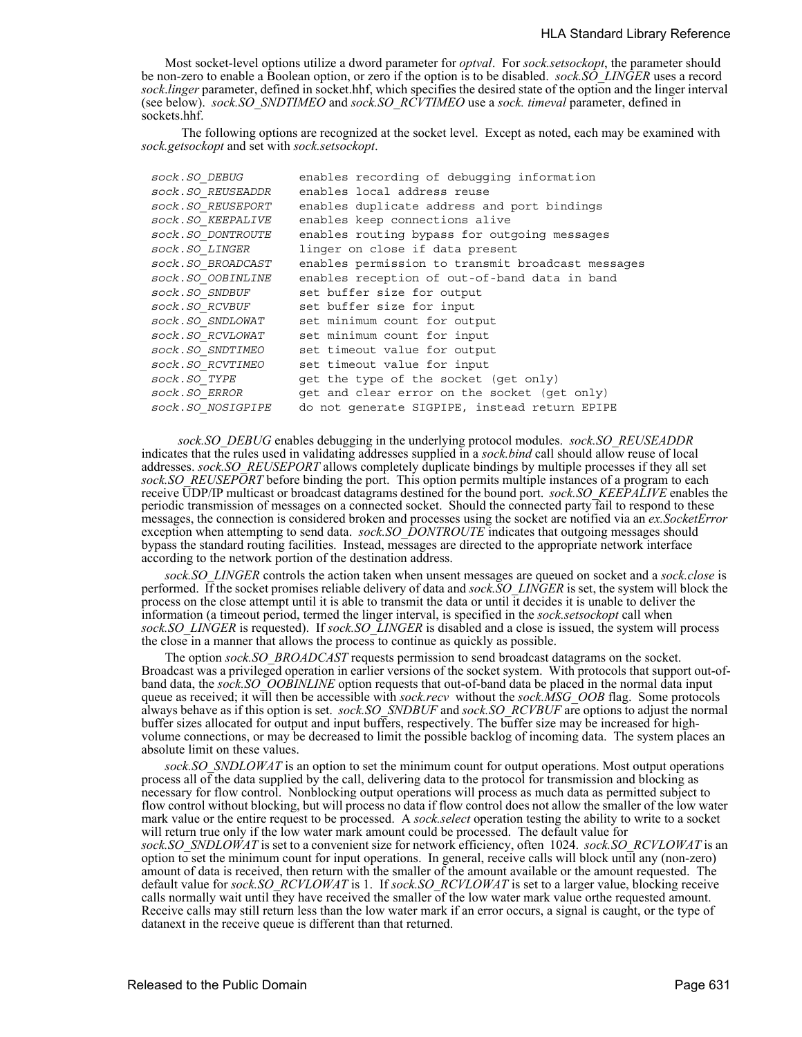Most socket-level options utilize a dword parameter for *optval*. For *sock.setsockopt*, the parameter should be non-zero to enable a Boolean option, or zero if the option is to be disabled. *sock.SO\_LINGER* uses a record *sock*.*linger* parameter, defined in socket.hhf, which specifies the desired state of the option and the linger interval (see below). *sock.SO\_SNDTIMEO* and *sock.SO\_RCVTIMEO* use a *sock. timeval* parameter, defined in sockets.hhf.

 The following options are recognized at the socket level. Except as noted, each may be examined with *sock.getsockopt* and set with *sock.setsockopt*.

| sock.SO DEBUG            | enables recording of debugging information        |
|--------------------------|---------------------------------------------------|
| sock. SO REUSEADDR       | enables local address reuse                       |
| sock. SO REUSEPORT       | enables duplicate address and port bindings       |
| SOCK. SO KEEPALIVE       | enables keep connections alive                    |
| <i>SOCK.SO DONTROUTE</i> | enables routing bypass for outgoing messages      |
| SOCK. SO LINGER          | linger on close if data present                   |
| sock. SO BROADCAST       | enables permission to transmit broadcast messages |
| <i>SOCK.SO OOBINLINE</i> | enables reception of out-of-band data in band     |
| sock.SO SNDBUF           | set buffer size for output                        |
| sock.SO RCVBUF           | set buffer size for input                         |
| <i>SOCK.SO SNDLOWAT</i>  | set minimum count for output                      |
| SOCK. SO RCVLOWAT        | set minimum count for input                       |
| SOCK. SO SNDTIMEO        | set timeout value for output                      |
| sock. SO RCVTIMEO        | set timeout value for input                       |
| <i>SOCK.SO TYPE</i>      | get the type of the socket (get only)             |
| sock.SO ERROR            | get and clear error on the socket (get only)      |
| sock. SO NOSIGPIPE       | do not generate SIGPIPE, instead return EPIPE     |
|                          |                                                   |

 *sock.SO\_DEBUG* enables debugging in the underlying protocol modules. *sock.SO\_REUSEADDR* indicates that the rules used in validating addresses supplied in a *sock.bind* call should allow reuse of local addresses. *sock.SO\_REUSEPORT* allows completely duplicate bindings by multiple processes if they all set *sock.SO\_REUSEPORT* before binding the port. This option permits multiple instances of a program to each receive UDP/IP multicast or broadcast datagrams destined for the bound port. *sock.SO\_KEEPALIVE* enables the periodic transmission of messages on a connected socket. Should the connected party fail to respond to these messages, the connection is considered broken and processes using the socket are notified via an *ex.SocketError* exception when attempting to send data. *sock.SO\_DONTROUTE* indicates that outgoing messages should bypass the standard routing facilities. Instead, messages are directed to the appropriate network interface according to the network portion of the destination address.

*sock.SO\_LINGER* controls the action taken when unsent messages are queued on socket and a *sock.close* is performed. If the socket promises reliable delivery of data and *sock.SO\_LINGER* is set, the system will block the process on the close attempt until it is able to transmit the data or until it decides it is unable to deliver the information (a timeout period, termed the linger interval, is specified in the *sock.setsockopt* call when *sock.SO\_LINGER* is requested). If *sock.SO\_LINGER* is disabled and a close is issued, the system will process the close in a manner that allows the process to continue as quickly as possible.

The option *sock.SO\_BROADCAST* requests permission to send broadcast datagrams on the socket. Broadcast was a privileged operation in earlier versions of the socket system. With protocols that support out-ofband data, the *sock.SO\_OOBINLINE* option requests that out-of-band data be placed in the normal data input queue as received; it will then be accessible with *sock.recv* without the *sock.MSG\_OOB* flag. Some protocols always behave as if this option is set. *sock.SO\_SNDBUF* and *sock.SO\_RCVBUF* are options to adjust the normal buffer sizes allocated for output and input buffers, respectively. The buffer size may be increased for highvolume connections, or may be decreased to limit the possible backlog of incoming data. The system places an absolute limit on these values.

*sock.SO\_SNDLOWAT* is an option to set the minimum count for output operations. Most output operations process all of the data supplied by the call, delivering data to the protocol for transmission and blocking as necessary for flow control. Nonblocking output operations will process as much data as permitted subject to flow control without blocking, but will process no data if flow control does not allow the smaller of the low water mark value or the entire request to be processed. A *sock.select* operation testing the ability to write to a socket will return true only if the low water mark amount could be processed. The default value for *sock.SO\_SNDLOWAT* is set to a convenient size for network efficiency, often 1024. *sock.SO\_RCVLOWAT* is an option to set the minimum count for input operations. In general, receive calls will block until any (non-zero) amount of data is received, then return with the smaller of the amount available or the amount requested. The default value for *sock.SO\_RCVLOWAT* is 1. If *sock.SO\_RCVLOWAT* is set to a larger value, blocking receive calls normally wait until they have received the smaller of the low water mark value orthe requested amount. Receive calls may still return less than the low water mark if an error occurs, a signal is caught, or the type of datanext in the receive queue is different than that returned.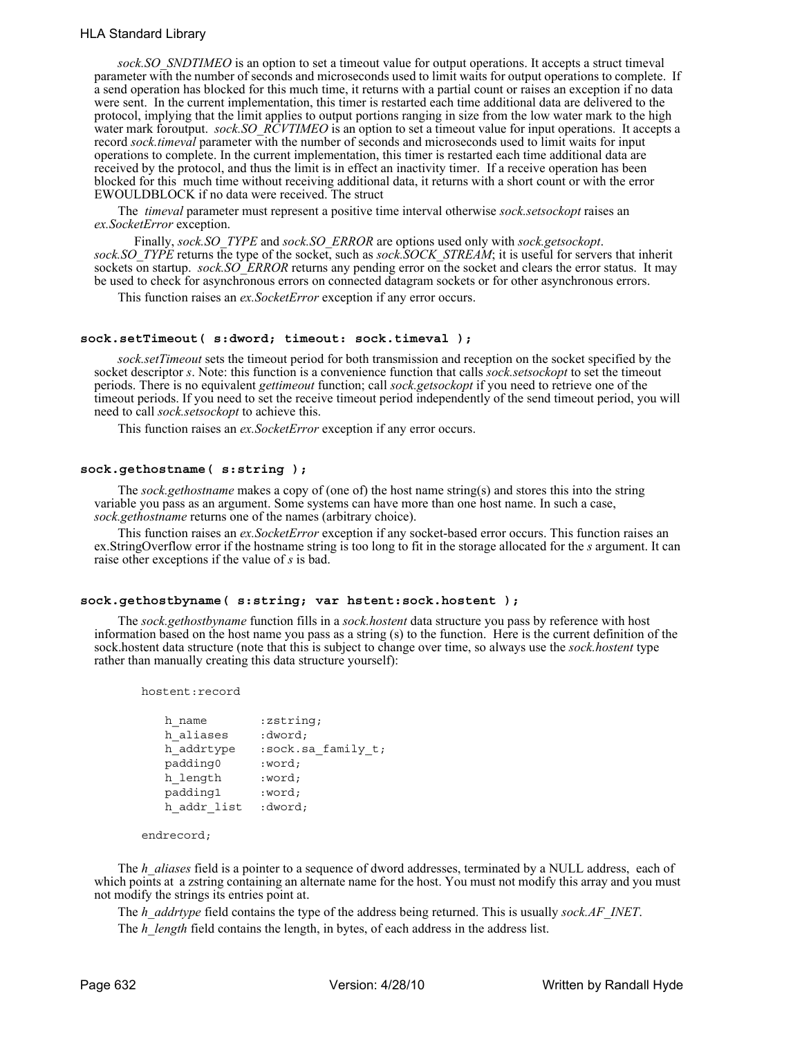*sock.SO\_SNDTIMEO* is an option to set a timeout value for output operations. It accepts a struct timeval parameter with the number of seconds and microseconds used to limit waits for output operations to complete. If a send operation has blocked for this much time, it returns with a partial count or raises an exception if no data were sent. In the current implementation, this timer is restarted each time additional data are delivered to the protocol, implying that the limit applies to output portions ranging in size from the low water mark to the high water mark foroutput. *sock.SO\_RCVTIMEO* is an option to set a timeout value for input operations. It accepts a record *sock.timeval* parameter with the number of seconds and microseconds used to limit waits for input operations to complete. In the current implementation, this timer is restarted each time additional data are received by the protocol, and thus the limit is in effect an inactivity timer. If a receive operation has been blocked for this much time without receiving additional data, it returns with a short count or with the error EWOULDBLOCK if no data were received. The struct

The *timeval* parameter must represent a positive time interval otherwise *sock.setsockopt* raises an *ex.SocketError* exception.

Finally, sock.SO\_TYPE and sock.SO\_ERROR are options used only with sock.getsockopt.<br>sock.SO\_TYPE returns the type of the socket, such as sock.SOCK\_STREAM; it is useful for servers that inherit sockets on startup. *sock.SO\_ERROR* returns any pending error on the socket and clears the error status. It may be used to check for asynchronous errors on connected datagram sockets or for other asynchronous errors.

This function raises an *ex.SocketError* exception if any error occurs.

## **sock.setTimeout( s:dword; timeout: sock.timeval );**

*sock.setTimeout* sets the timeout period for both transmission and reception on the socket specified by the socket descriptor *s*. Note: this function is a convenience function that calls *sock.setsockopt* to set the timeout periods. There is no equivalent *gettimeout* function; call *sock.getsockopt* if you need to retrieve one of the timeout periods. If you need to set the receive timeout period independently of the send timeout period, you will need to call *sock.setsockopt* to achieve this.

This function raises an *ex.SocketError* exception if any error occurs.

#### **sock.gethostname( s:string );**

The *sock.gethostname* makes a copy of (one of) the host name string(s) and stores this into the string variable you pass as an argument. Some systems can have more than one host name. In such a case, *sock.gethostname* returns one of the names (arbitrary choice).

This function raises an *ex.SocketError* exception if any socket-based error occurs. This function raises an ex.StringOverflow error if the hostname string is too long to fit in the storage allocated for the *s* argument. It can raise other exceptions if the value of *s* is bad.

#### **sock.gethostbyname( s:string; var hstent:sock.hostent );**

The *sock.gethostbyname* function fills in a *sock.hostent* data structure you pass by reference with host information based on the host name you pass as a string (s) to the function. Here is the current definition of the sock.hostent data structure (note that this is subject to change over time, so always use the *sock.hostent* type rather than manually creating this data structure yourself):

```
hostent:record
```

| h name      | :zstring;          |
|-------------|--------------------|
| h aliases   | :dword;            |
| h addrtype  | :sock.sa family t; |
| padding0    | :word;             |
| h length    | :word;             |
| padding1    | :word;             |
| h addr list | :dword;            |

#### endrecord;

The *h* aliases field is a pointer to a sequence of dword addresses, terminated by a NULL address, each of which points at a zstring containing an alternate name for the host. You must not modify this array and you must not modify the strings its entries point at.

The *h\_addrtype* field contains the type of the address being returned. This is usually *sock.AF\_INET*. The *h* length field contains the length, in bytes, of each address in the address list.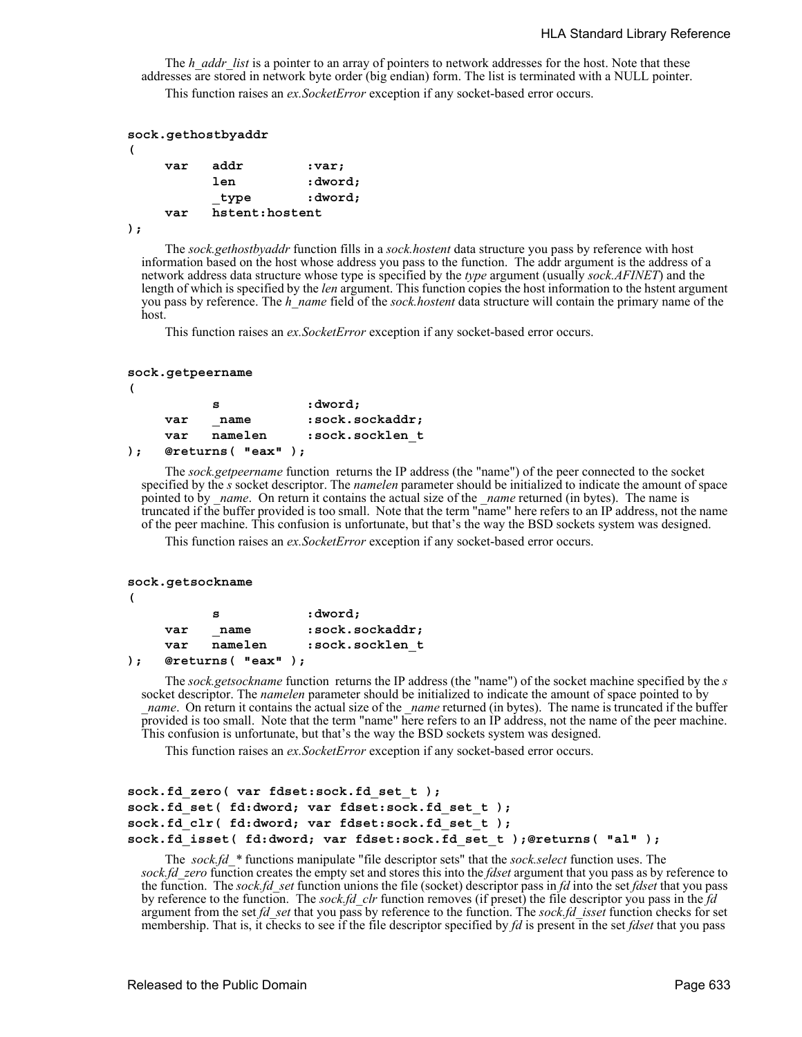The *h\_addr\_list* is a pointer to an array of pointers to network addresses for the host. Note that these addresses are stored in network byte order (big endian) form. The list is terminated with a NULL pointer. This function raises an *ex.SocketError* exception if any socket-based error occurs.

```
sock.gethostbyaddr
```
**(**

```
var addr :var; 
    len :dword; 
     _type :dword;
var hstent:hostent
```
**);**

The *sock.gethostbyaddr* function fills in a *sock.hostent* data structure you pass by reference with host information based on the host whose address you pass to the function. The addr argument is the address of a network address data structure whose type is specified by the *type* argument (usually *sock.AFINET*) and the length of which is specified by the *len* argument. This function copies the host information to the hstent argument you pass by reference. The *h\_name* field of the *sock.hostent* data structure will contain the primary name of the host.

This function raises an *ex.SocketError* exception if any socket-based error occurs.

#### **sock.getpeername**

**(** 

|    |     | s                       | :dword;         |
|----|-----|-------------------------|-----------------|
|    | var | name                    | :sock.sockaddr; |
|    | var | namelen                 | :sock.socklen t |
| ); |     | @returns $($ "eax" $);$ |                 |

The *sock.getpeername* function returns the IP address (the "name") of the peer connected to the socket specified by the *s* socket descriptor. The *namelen* parameter should be initialized to indicate the amount of space pointed to by \_*name*. On return it contains the actual size of the *\_name* returned (in bytes). The name is truncated if the buffer provided is too small. Note that the term "name" here refers to an IP address, not the name of the peer machine. This confusion is unfortunate, but that's the way the BSD sockets system was designed.

This function raises an *ex.SocketError* exception if any socket-based error occurs.

#### **sock.getsockname**

**(** 

|     | s       | :dword;         |
|-----|---------|-----------------|
| var | name    | :sock.sockaddr; |
| var | namelen | :sock.socklen t |
|     |         |                 |

## **); @returns( "eax" );**

The *sock.getsockname* function returns the IP address (the "name") of the socket machine specified by the *s* socket descriptor. The *namelen* parameter should be initialized to indicate the amount of space pointed to by \_*name*. On return it contains the actual size of the *\_name* returned (in bytes). The name is truncated if the buffer provided is too small. Note that the term "name" here refers to an IP address, not the name of the peer machine. This confusion is unfortunate, but that's the way the BSD sockets system was designed.

This function raises an *ex.SocketError* exception if any socket-based error occurs.

```
sock.fd_zero( var fdset:sock.fd_set_t );
sock.fd_set( fd:dword; var fdset:sock.fd_set_t );
sock.fd_clr( fd:dword; var fdset:sock.fd_set_t );
sock.fd_isset( fd:dword; var fdset:sock.fd_set_t );@returns( "al" );
```
The *sock.fd\_\** functions manipulate "file descriptor sets" that the *sock.select* function uses. The *sock.fd\_zero* function creates the empty set and stores this into the *fdset* argument that you pass as by reference to the function. The *sock.fd\_set* function unions the file (socket) descriptor pass in *fd* into the set *fdset* that you pass by reference to the function. The *sock.fd\_clr* function removes (if preset) the file descriptor you pass in the *fd* argument from the set *fd\_set* that you pass by reference to the function. The *sock.fd\_isset* function checks for set membership. That is, it checks to see if the file descriptor specified by *fd* is present in the set *fdset* that you pass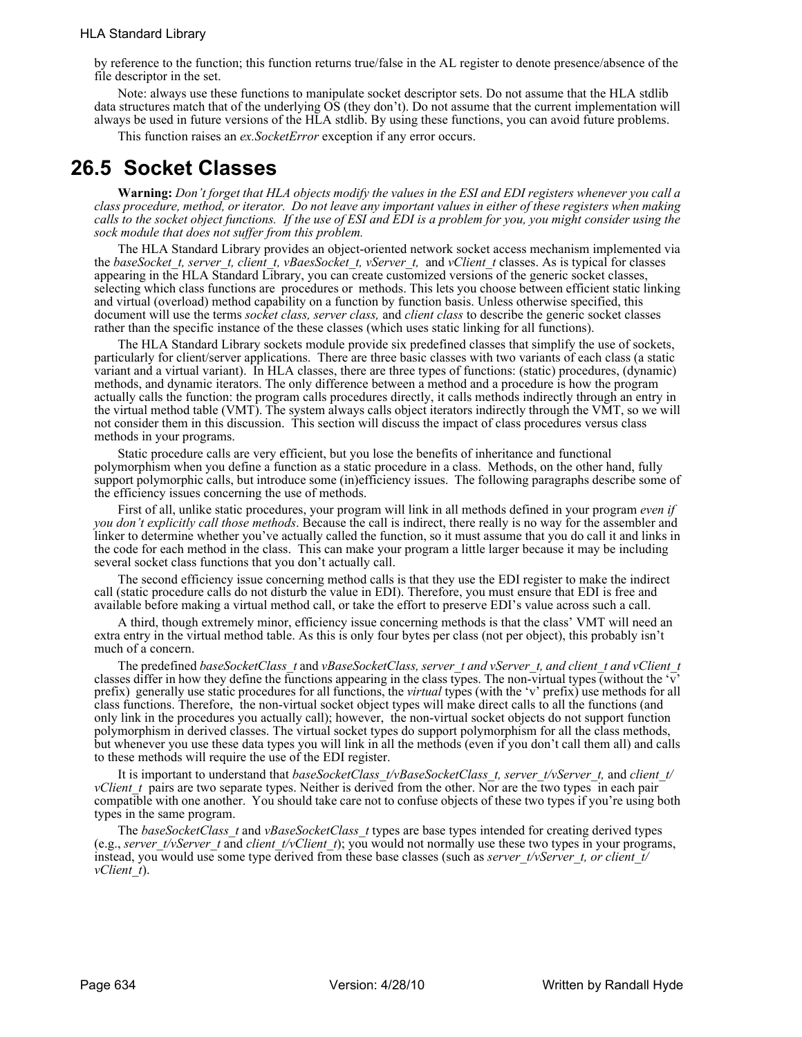## HLA Standard Library

by reference to the function; this function returns true/false in the AL register to denote presence/absence of the file descriptor in the set.

Note: always use these functions to manipulate socket descriptor sets. Do not assume that the HLA stdlib data structures match that of the underlying OS (they don't). Do not assume that the current implementation will always be used in future versions of the HLA stdlib. By using these functions, you can avoid future problems.

This function raises an *ex.SocketError* exception if any error occurs.

# **26.5 Socket Classes**

**Warning:** *Don't forget that HLA objects modify the values in the ESI and EDI registers whenever you call a class procedure, method, or iterator. Do not leave any important values in either of these registers when making calls to the socket object functions. If the use of ESI and EDI is a problem for you, you might consider using the sock module that does not suffer from this problem.*

The HLA Standard Library provides an object-oriented network socket access mechanism implemented via the *baseSocket t, server t, client t, vBaesSocket t, vServer t, and <i>vClient t* classes. As is typical for classes appearing in the HLA Standard Library, you can create customized versions of the generic socket classes, selecting which class functions are procedures or methods. This lets you choose between efficient static linking and virtual (overload) method capability on a function by function basis. Unless otherwise specified, this document will use the terms *socket class, server class,* and *client class* to describe the generic socket classes rather than the specific instance of the these classes (which uses static linking for all functions).

The HLA Standard Library sockets module provide six predefined classes that simplify the use of sockets, particularly for client/server applications. There are three basic classes with two variants of each class (a static variant and a virtual variant). In HLA classes, there are three types of functions: (static) procedures, (dynamic) methods, and dynamic iterators. The only difference between a method and a procedure is how the program actually calls the function: the program calls procedures directly, it calls methods indirectly through an entry in the virtual method table (VMT). The system always calls object iterators indirectly through the VMT, so we will not consider them in this discussion. This section will discuss the impact of class procedures versus class methods in your programs.

Static procedure calls are very efficient, but you lose the benefits of inheritance and functional polymorphism when you define a function as a static procedure in a class. Methods, on the other hand, fully support polymorphic calls, but introduce some (in)efficiency issues. The following paragraphs describe some of the efficiency issues concerning the use of methods.

First of all, unlike static procedures, your program will link in all methods defined in your program *even if you don't explicitly call those methods*. Because the call is indirect, there really is no way for the assembler and linker to determine whether you've actually called the function, so it must assume that you do call it and links in the code for each method in the class. This can make your program a little larger because it may be including several socket class functions that you don't actually call.

The second efficiency issue concerning method calls is that they use the EDI register to make the indirect call (static procedure calls do not disturb the value in EDI). Therefore, you must ensure that EDI is free and available before making a virtual method call, or take the effort to preserve EDI's value across such a call.

A third, though extremely minor, efficiency issue concerning methods is that the class' VMT will need an extra entry in the virtual method table. As this is only four bytes per class (not per object), this probably isn't much of a concern.

The predefined *baseSocketClass\_t* and *vBaseSocketClass, server\_t and vServer\_t, and client\_t and vClient\_t* classes differ in how they define the functions appearing in the class types. The non-virtual types (without the 'v' prefix) generally use static procedures for all functions, the *virtual* types (with the 'v' prefix) use methods for all class functions. Therefore, the non-virtual socket object types will make direct calls to all the functions (and only link in the procedures you actually call); however, the non-virtual socket objects do not support function polymorphism in derived classes. The virtual socket types do support polymorphism for all the class methods, but whenever you use these data types you will link in all the methods (even if you don't call them all) and calls to these methods will require the use of the EDI register.

It is important to understand that *baseSocketClass\_t/vBaseSocketClass\_t, server\_t/vServer\_t,* and *client\_t/ vClient* t pairs are two separate types. Neither is derived from the other. Nor are the two types in each pair compatible with one another. You should take care not to confuse objects of these two types if you're using both types in the same program.

The *baseSocketClass\_t* and *vBaseSocketClass\_t* types are base types intended for creating derived types (e.g., *server\_t/vServer\_t* and *client\_t/vClient\_t*); you would not normally use these two types in your programs, instead, you would use some type derived from these base classes (such as *server* t/vServer t, or client t/ *vClient\_t*).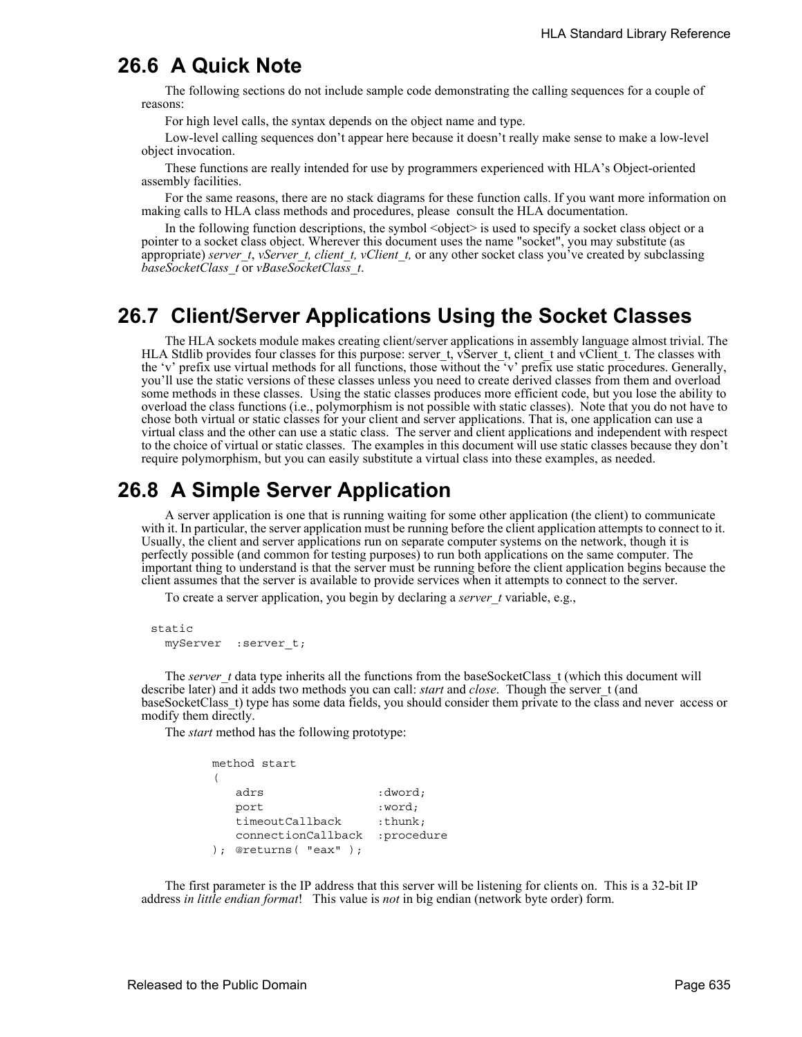# **26.6 A Quick Note**

The following sections do not include sample code demonstrating the calling sequences for a couple of reasons:

For high level calls, the syntax depends on the object name and type.

Low-level calling sequences don't appear here because it doesn't really make sense to make a low-level object invocation.

These functions are really intended for use by programmers experienced with HLA's Object-oriented assembly facilities.

For the same reasons, there are no stack diagrams for these function calls. If you want more information on making calls to HLA class methods and procedures, please consult the HLA documentation.

In the following function descriptions, the symbol  $\leq$  biect $\geq$  is used to specify a socket class object or a pointer to a socket class object. Wherever this document uses the name "socket", you may substitute (as appropriate) *server\_t*, *vServer\_t, client\_t, vClient\_t,* or any other socket class you've created by subclassing *baseSocketClass\_t* or *vBaseSocketClass\_t*.

# **26.7 Client/Server Applications Using the Socket Classes**

The HLA sockets module makes creating client/server applications in assembly language almost trivial. The HLA Stdlib provides four classes for this purpose: server t, vServer, t, client, t and vClient, t. The classes with the 'v' prefix use virtual methods for all functions, those without the 'v' prefix use static procedures. Generally, you'll use the static versions of these classes unless you need to create derived classes from them and overload some methods in these classes. Using the static classes produces more efficient code, but you lose the ability to overload the class functions (i.e., polymorphism is not possible with static classes). Note that you do not have to chose both virtual or static classes for your client and server applications. That is, one application can use a virtual class and the other can use a static class. The server and client applications and independent with respect to the choice of virtual or static classes. The examples in this document will use static classes because they don't require polymorphism, but you can easily substitute a virtual class into these examples, as needed.

# **26.8 A Simple Server Application**

A server application is one that is running waiting for some other application (the client) to communicate with it. In particular, the server application must be running before the client application attempts to connect to it. Usually, the client and server applications run on separate computer systems on the network, though it is perfectly possible (and common for testing purposes) to run both applications on the same computer. The important thing to understand is that the server must be running before the client application begins because the client assumes that the server is available to provide services when it attempts to connect to the server.

To create a server application, you begin by declaring a *server\_t* variable, e.g.,

```
static
 myServer :server_t;
```
The *server* t data type inherits all the functions from the baseSocketClass t (which this document will describe later) and it adds two methods you can call: *start* and *close*. Though the server\_t (and baseSocketClass\_t) type has some data fields, you should consider them private to the class and never access or modify them directly.

The *start* method has the following prototype:

```
method start
( 
  adrs : dword;
  port : word;
  timeoutCallback : thunk;
  connectionCallback :procedure 
); @returns( "eax" );
```
The first parameter is the IP address that this server will be listening for clients on. This is a 32-bit IP address *in little endian format*! This value is *not* in big endian (network byte order) form.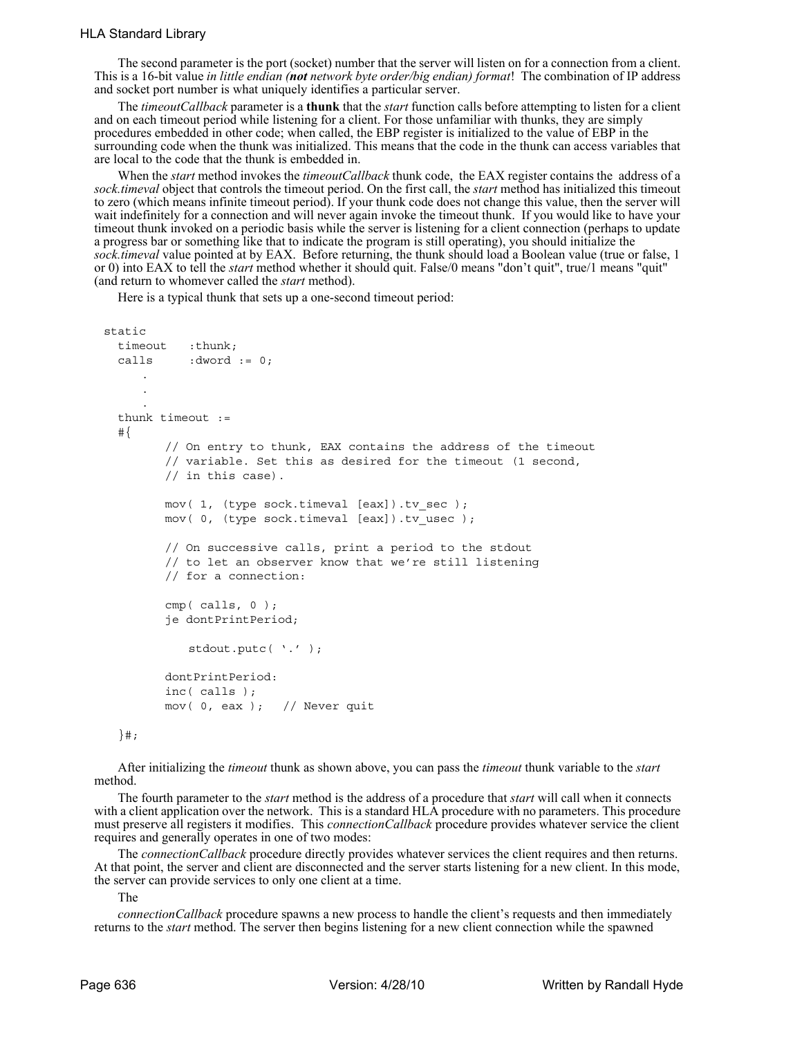The second parameter is the port (socket) number that the server will listen on for a connection from a client. This is a 16-bit value *in little endian (not network byte order/big endian) format*! The combination of IP address and socket port number is what uniquely identifies a particular server.

The *timeoutCallback* parameter is a **thunk** that the *start* function calls before attempting to listen for a client and on each timeout period while listening for a client. For those unfamiliar with thunks, they are simply procedures embedded in other code; when called, the EBP register is initialized to the value of EBP in the surrounding code when the thunk was initialized. This means that the code in the thunk can access variables that are local to the code that the thunk is embedded in.

When the *start* method invokes the *timeoutCallback* thunk code, the EAX register contains the address of a *sock.timeval* object that controls the timeout period. On the first call, the *start* method has initialized this timeout to zero (which means infinite timeout period). If your thunk code does not change this value, then the server will wait indefinitely for a connection and will never again invoke the timeout thunk. If you would like to have your timeout thunk invoked on a periodic basis while the server is listening for a client connection (perhaps to update a progress bar or something like that to indicate the program is still operating), you should initialize the *sock.timeval* value pointed at by EAX. Before returning, the thunk should load a Boolean value (true or false, 1 or 0) into EAX to tell the *start* method whether it should quit. False/0 means "don't quit", true/1 means "quit" (and return to whomever called the *start* method).

Here is a typical thunk that sets up a one-second timeout period:

```
static
  timeout :thunk;
  calls :dword := 0;
     .
     .
     .
  thunk timeout :=
  #{
        // On entry to thunk, EAX contains the address of the timeout
        // variable. Set this as desired for the timeout (1 second,
        // in this case).
        mov( 1, (type sock.timeval [eax]).tv sec );
        mov( 0, (type sock.timeval [eax]).tv_usec );
        // On successive calls, print a period to the stdout
        // to let an observer know that we're still listening
        // for a connection:
        cmp( calls, 0 );
        je dontPrintPeriod;
            stdout.putc( '.' );
        dontPrintPeriod:
        inc( calls );
        mov( 0, eax ); // Never quit
```
}#;

After initializing the *timeout* thunk as shown above, you can pass the *timeout* thunk variable to the *start* method.

The fourth parameter to the *start* method is the address of a procedure that *start* will call when it connects with a client application over the network. This is a standard HLA procedure with no parameters. This procedure must preserve all registers it modifies. This *connectionCallback* procedure provides whatever service the client requires and generally operates in one of two modes:

The *connectionCallback* procedure directly provides whatever services the client requires and then returns. At that point, the server and client are disconnected and the server starts listening for a new client. In this mode, the server can provide services to only one client at a time.

The

*connectionCallback* procedure spawns a new process to handle the client's requests and then immediately returns to the *start* method. The server then begins listening for a new client connection while the spawned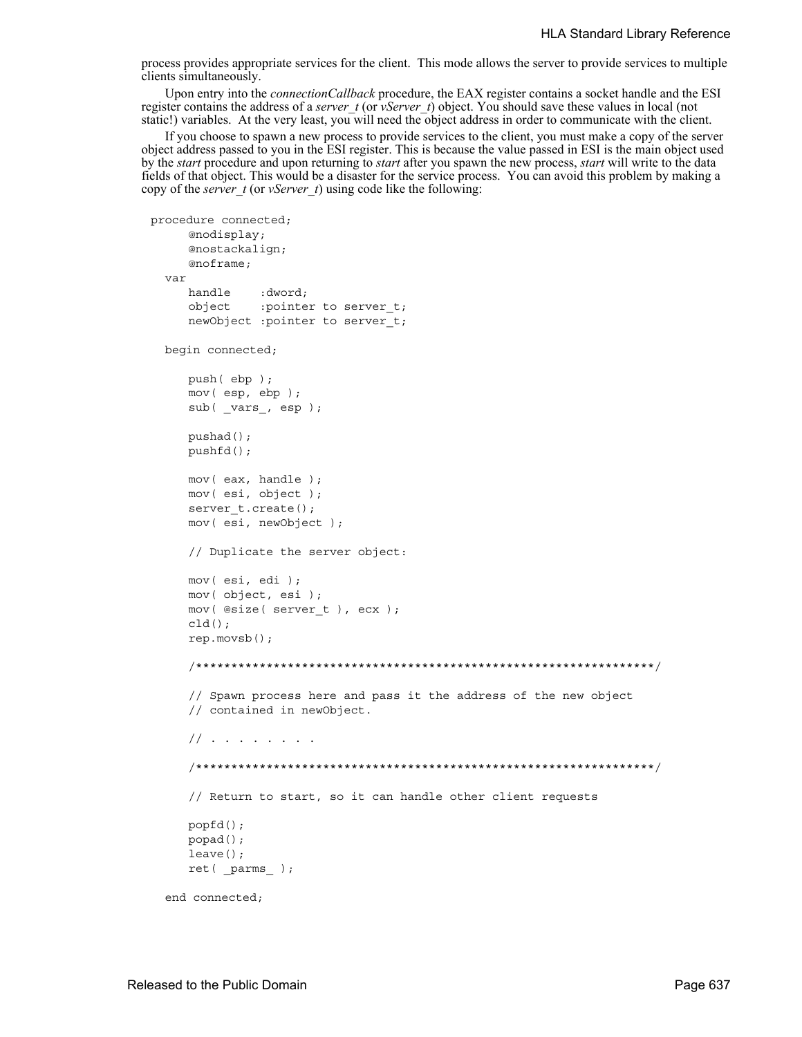process provides appropriate services for the client. This mode allows the server to provide services to multiple clients simultaneously.

Upon entry into the *connectionCallback* procedure, the EAX register contains a socket handle and the ESI register contains the address of a *server* t (or *vServer* t) object. You should save these values in local (not static!) variables. At the very least, you will need the object address in order to communicate with the client.

If you choose to spawn a new process to provide services to the client, you must make a copy of the server object address passed to you in the ESI register. This is because the value passed in ESI is the main object used by the *start* procedure and upon returning to *start* after you spawn the new process, *start* will write to the data fields of that object. This would be a disaster for the service process. You can avoid this problem by making a copy of the *server\_t* (or *vServer\_t*) using code like the following:

```
procedure connected;
     @nodisplay;
     @nostackalign;
     @noframe;
 var
     handle :dword;
     object : pointer to server t;
     newObject : pointer to server t;
 begin connected;
     push( ebp );
     mov( esp, ebp );
     sub( _vars_, esp );
     pushad();
     pushfd();
     mov( eax, handle );
     mov( esi, object );
     server t.create();
     mov( esi, newObject );
     // Duplicate the server object:
     mov( esi, edi );
     mov( object, esi );
     mov( @size( server_t ), ecx );
     cld();
     rep.movsb();
     /*****************************************************************/
     // Spawn process here and pass it the address of the new object
     // contained in newObject.
     // . . . . . . . .
     /*****************************************************************/
     // Return to start, so it can handle other client requests
     popfd();
     popad();
     leave();
     ret( _parms_ );
  end connected;
```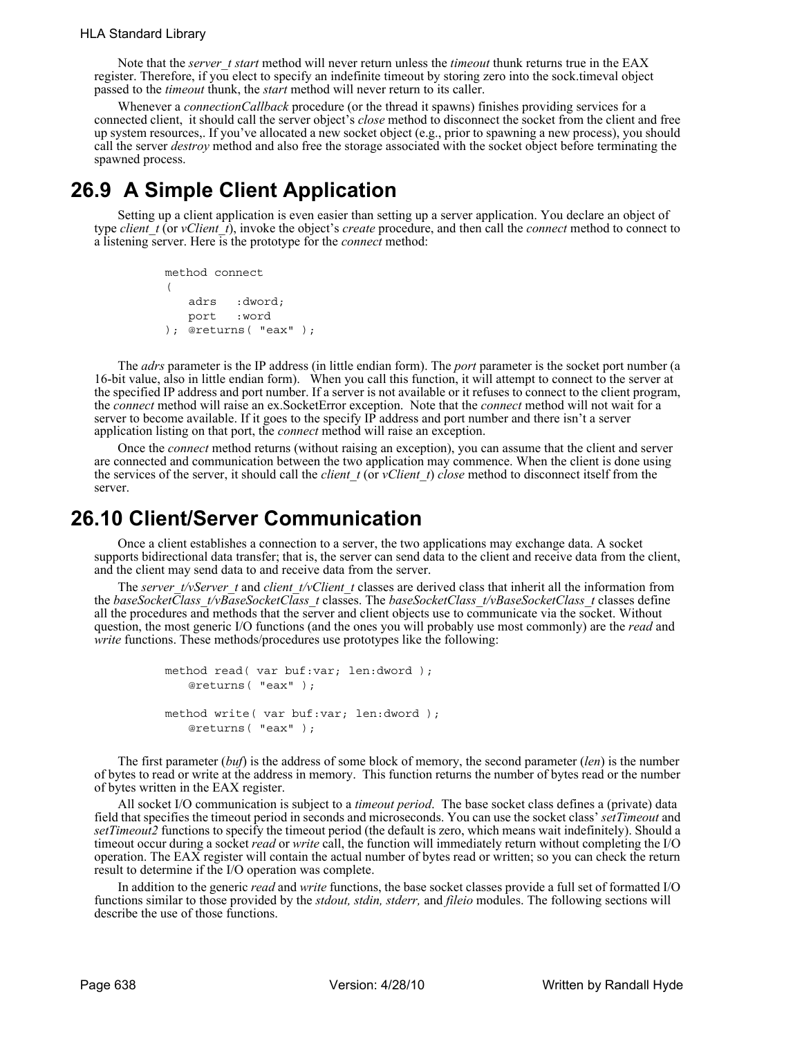Note that the *server\_t start* method will never return unless the *timeout* thunk returns true in the EAX register. Therefore, if you elect to specify an indefinite timeout by storing zero into the sock.timeval object passed to the *timeout* thunk, the *start* method will never return to its caller.

Whenever a *connectionCallback* procedure (or the thread it spawns) finishes providing services for a connected client, it should call the server object's *close* method to disconnect the socket from the client and free up system resources,. If you've allocated a new socket object (e.g., prior to spawning a new process), you should call the server *destroy* method and also free the storage associated with the socket object before terminating the spawned process.

# **26.9 A Simple Client Application**

Setting up a client application is even easier than setting up a server application. You declare an object of type *client*  $\tau$  (or *vClient* $\tau$ ), invoke the object's *create* procedure, and then call the *connect* method to connect to a listening server. Here is the prototype for the *connect* method:

```
method connect
( 
   adrs :dword; 
   port :word 
); @returns( "eax" );
```
The *adrs* parameter is the IP address (in little endian form). The *port* parameter is the socket port number (a 16-bit value, also in little endian form). When you call this function, it will attempt to connect to the server at the specified IP address and port number. If a server is not available or it refuses to connect to the client program, the *connect* method will raise an ex.SocketError exception. Note that the *connect* method will not wait for a server to become available. If it goes to the specify IP address and port number and there isn't a server application listing on that port, the *connect* method will raise an exception.

Once the *connect* method returns (without raising an exception), you can assume that the client and server are connected and communication between the two application may commence. When the client is done using the services of the server, it should call the *client\_t* (or *vClient\_t*) *close* method to disconnect itself from the server.

## **26.10 Client/Server Communication**

Once a client establishes a connection to a server, the two applications may exchange data. A socket supports bidirectional data transfer; that is, the server can send data to the client and receive data from the client, and the client may send data to and receive data from the server.

The *server* t/vServer t and *client* t/vClient t classes are derived class that inherit all the information from the *baseSocketClass\_t/vBaseSocketClass\_t* classes. The *baseSocketClass\_t/vBaseSocketClass\_t* classes define all the procedures and methods that the server and client objects use to communicate via the socket. Without question, the most generic I/O functions (and the ones you will probably use most commonly) are the *read* and *write* functions. These methods/procedures use prototypes like the following:

```
method read( var buf:var; len:dword );
   @returns( "eax" );
method write( var buf:var; len:dword );
   @returns( "eax" );
```
The first parameter (*buf*) is the address of some block of memory, the second parameter (*len*) is the number of bytes to read or write at the address in memory. This function returns the number of bytes read or the number of bytes written in the EAX register.

All socket I/O communication is subject to a *timeout period*. The base socket class defines a (private) data field that specifies the timeout period in seconds and microseconds. You can use the socket class' *setTimeout* and *setTimeout2* functions to specify the timeout period (the default is zero, which means wait indefinitely). Should a timeout occur during a socket *read* or *write* call, the function will immediately return without completing the I/O operation. The EAX register will contain the actual number of bytes read or written; so you can check the return result to determine if the I/O operation was complete.

In addition to the generic *read* and *write* functions, the base socket classes provide a full set of formatted I/O functions similar to those provided by the *stdout, stdin, stderr,* and *fileio* modules. The following sections will describe the use of those functions.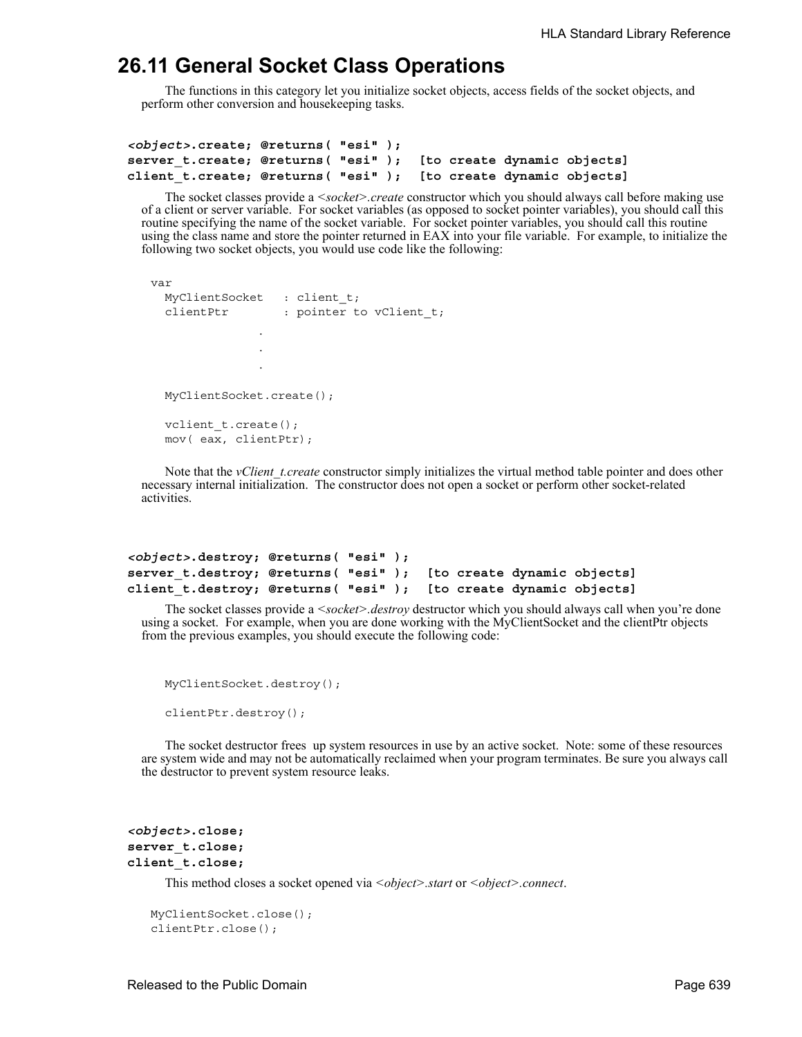## **26.11 General Socket Class Operations**

The functions in this category let you initialize socket objects, access fields of the socket objects, and perform other conversion and housekeeping tasks.

```
<object>.create; @returns( "esi" );
server_t.create; @returns( "esi" ); [to create dynamic objects]
client_t.create; @returns( "esi" ); [to create dynamic objects]
```
The socket classes provide a *<socket>.create* constructor which you should always call before making use of a client or server variable. For socket variables (as opposed to socket pointer variables), you should call this routine specifying the name of the socket variable. For socket pointer variables, you should call this routine using the class name and store the pointer returned in EAX into your file variable. For example, to initialize the following two socket objects, you would use code like the following:

```
var
 MyClientSocket : client_t;
 clientPtr : pointer to vClient t;
               . 
               .
               .
 MyClientSocket.create();
 vclient t.create();
 mov( eax, clientPtr);
```
Note that the *vClient t.create* constructor simply initializes the virtual method table pointer and does other necessary internal initialization. The constructor does not open a socket or perform other socket-related activities.

```
<object>.destroy; @returns( "esi" );
server_t.destroy; @returns( "esi" ); [to create dynamic objects]
client_t.destroy; @returns( "esi" ); [to create dynamic objects]
```
The socket classes provide a *<socket>.destroy* destructor which you should always call when you're done using a socket. For example, when you are done working with the MyClientSocket and the clientPtr objects from the previous examples, you should execute the following code:

```
MyClientSocket.destroy();
```
clientPtr.destroy();

The socket destructor frees up system resources in use by an active socket. Note: some of these resources are system wide and may not be automatically reclaimed when your program terminates. Be sure you always call the destructor to prevent system resource leaks.

```
<object>.close;
server_t.close;
client_t.close;
```
This method closes a socket opened via *<object>.start* or *<object>.connect*.

```
MyClientSocket.close();
clientPtr.close();
```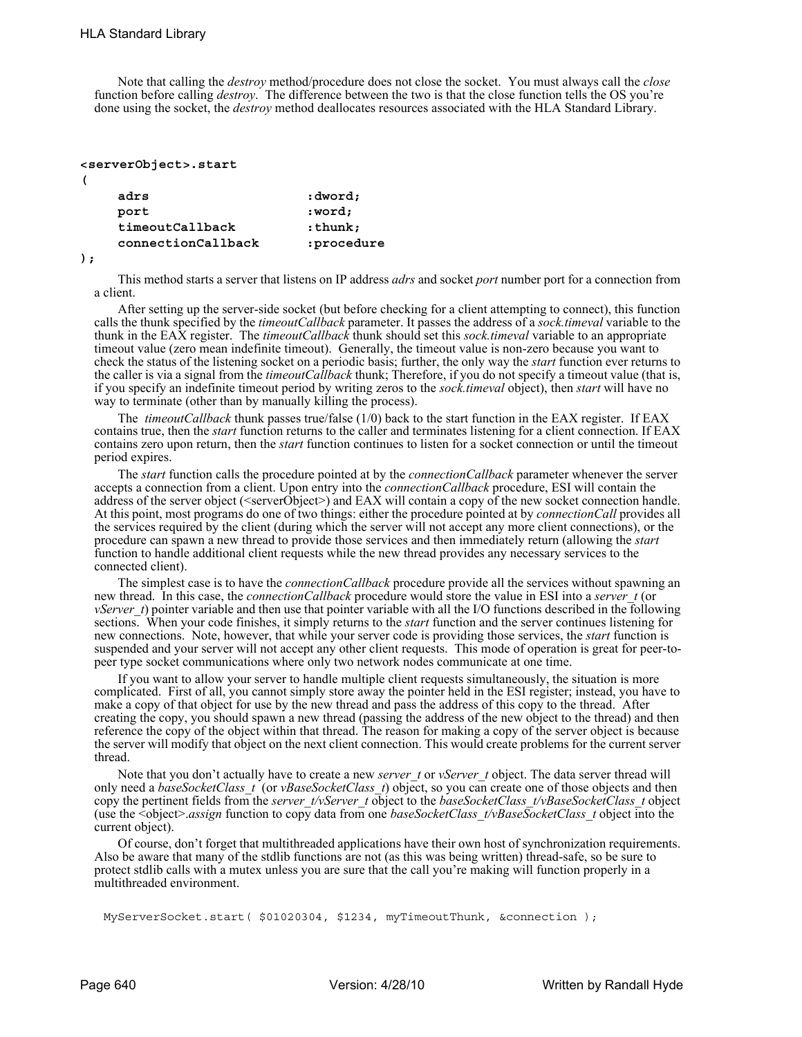Note that calling the *destroy* method/procedure does not close the socket. You must always call the *close* function before calling *destroy*. The difference between the two is that the close function tells the OS you're done using the socket, the *destroy* method deallocates resources associated with the HLA Standard Library.

```
<serverObject>.start
( 
   adrs :dword; 
   port :word; 
   timeoutCallback :thunk;
   connectionCallback :procedure
```
**);**

This method starts a server that listens on IP address *adrs* and socket *port* number port for a connection from a client.

After setting up the server-side socket (but before checking for a client attempting to connect), this function calls the thunk specified by the *timeoutCallback* parameter. It passes the address of a *sock.timeval* variable to the thunk in the EAX register. The *timeoutCallback* thunk should set this *sock.timeval* variable to an appropriate timeout value (zero mean indefinite timeout). Generally, the timeout value is non-zero because you want to check the status of the listening socket on a periodic basis; further, the only way the *start* function ever returns to the caller is via a signal from the *timeoutCallback* thunk; Therefore, if you do not specify a timeout value (that is, if you specify an indefinite timeout period by writing zeros to the *sock.timeval* object), then *start* will have no way to terminate (other than by manually killing the process).

The *timeoutCallback* thunk passes true/false (1/0) back to the start function in the EAX register. If EAX contains true, then the *start* function returns to the caller and terminates listening for a client connection. If EAX contains zero upon return, then the *start* function continues to listen for a socket connection or until the timeout period expires.

The *start* function calls the procedure pointed at by the *connectionCallback* parameter whenever the server accepts a connection from a client. Upon entry into the *connectionCallback* procedure, ESI will contain the address of the server object (<serverObject>) and EAX will contain a copy of the new socket connection handle. At this point, most programs do one of two things: either the procedure pointed at by *connectionCall* provides all the services required by the client (during which the server will not accept any more client connections), or the procedure can spawn a new thread to provide those services and then immediately return (allowing the *start* function to handle additional client requests while the new thread provides any necessary services to the connected client).

The simplest case is to have the *connectionCallback* procedure provide all the services without spawning an new thread. In this case, the *connectionCallback* procedure would store the value in ESI into a *server\_t* (or *vServer* t) pointer variable and then use that pointer variable with all the I/O functions described in the following sections. When your code finishes, it simply returns to the *start* function and the server continues listening for new connections. Note, however, that while your server code is providing those services, the *start* function is suspended and your server will not accept any other client requests. This mode of operation is great for peer-topeer type socket communications where only two network nodes communicate at one time.

If you want to allow your server to handle multiple client requests simultaneously, the situation is more complicated. First of all, you cannot simply store away the pointer held in the ESI register; instead, you have to make a copy of that object for use by the new thread and pass the address of this copy to the thread. After creating the copy, you should spawn a new thread (passing the address of the new object to the thread) and then reference the copy of the object within that thread. The reason for making a copy of the server object is because the server will modify that object on the next client connection. This would create problems for the current server thread.

Note that you don't actually have to create a new *server* t or *vServer* t object. The data server thread will only need a *baseSocketClass\_t* (or *vBaseSocketClass\_t*) object, so you can create one of those objects and then copy the pertinent fields from the *server\_t/vServer\_t* object to the *baseSocketClass\_t/vBaseSocketClass\_t* object (use the <object>.*assign* function to copy data from one *baseSocketClass\_t/vBaseSocketClass\_t* object into the current object).

Of course, don't forget that multithreaded applications have their own host of synchronization requirements. Also be aware that many of the stdlib functions are not (as this was being written) thread-safe, so be sure to protect stdlib calls with a mutex unless you are sure that the call you're making will function properly in a multithreaded environment.

MyServerSocket.start( \$01020304, \$1234, myTimeoutThunk, &connection );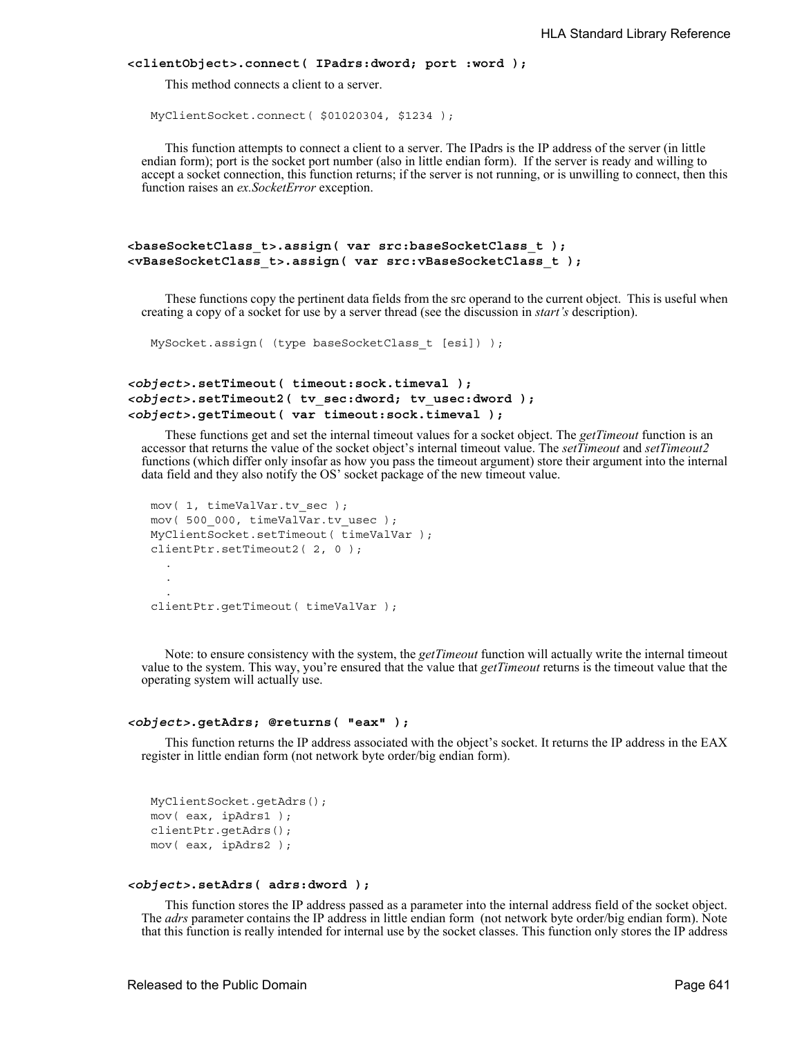### **<clientObject>.connect( IPadrs:dword; port :word );**

This method connects a client to a server.

```
MyClientSocket.connect( $01020304, $1234 );
```
This function attempts to connect a client to a server. The IPadrs is the IP address of the server (in little endian form); port is the socket port number (also in little endian form). If the server is ready and willing to accept a socket connection, this function returns; if the server is not running, or is unwilling to connect, then this function raises an *ex.SocketError* exception.

## **<baseSocketClass\_t>.assign( var src:baseSocketClass\_t ); <vBaseSocketClass\_t>.assign( var src:vBaseSocketClass\_t );**

These functions copy the pertinent data fields from the src operand to the current object. This is useful when creating a copy of a socket for use by a server thread (see the discussion in *start's* description).

MySocket.assign( (type baseSocketClass t [esi]) );

```
<object>.setTimeout( timeout:sock.timeval );
<object>.setTimeout2( tv_sec:dword; tv_usec:dword );
<object>.getTimeout( var timeout:sock.timeval );
```
These functions get and set the internal timeout values for a socket object. The *getTimeout* function is an accessor that returns the value of the socket object's internal timeout value. The *setTimeout* and *setTimeout2* functions (which differ only insofar as how you pass the timeout argument) store their argument into the internal data field and they also notify the OS' socket package of the new timeout value.

```
mov( 1, timeValVar.tv_sec );
mov( 500 000, timeValVar.tv usec );
MyClientSocket.setTimeout( timeValVar );
clientPtr.setTimeout2( 2, 0 );
  .
  .
  .
clientPtr.getTimeout( timeValVar );
```
Note: to ensure consistency with the system, the *getTimeout* function will actually write the internal timeout value to the system. This way, you're ensured that the value that *getTimeout* returns is the timeout value that the operating system will actually use.

## *<object>***.getAdrs; @returns( "eax" );**

This function returns the IP address associated with the object's socket. It returns the IP address in the EAX register in little endian form (not network byte order/big endian form).

```
MyClientSocket.getAdrs();
mov( eax, ipAdrs1 );
clientPtr.getAdrs();
mov( eax, ipAdrs2 );
```
## *<object>***.setAdrs( adrs:dword );**

This function stores the IP address passed as a parameter into the internal address field of the socket object. The *adrs* parameter contains the IP address in little endian form (not network byte order/big endian form). Note that this function is really intended for internal use by the socket classes. This function only stores the IP address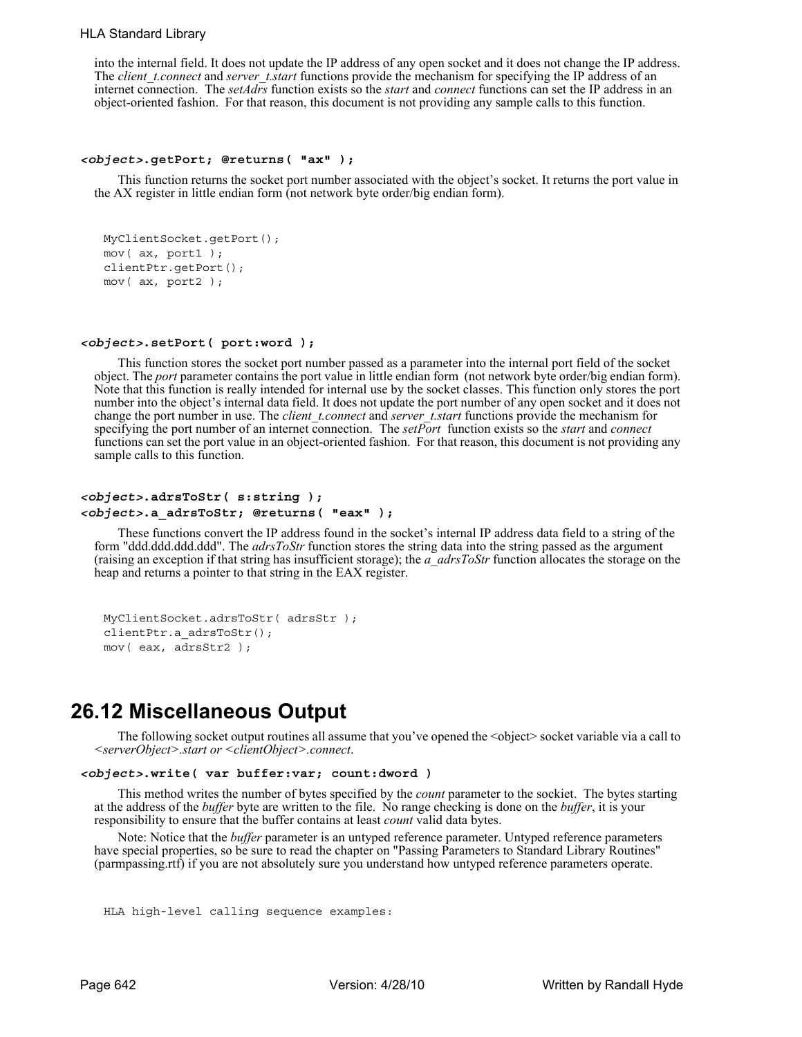## HLA Standard Library

into the internal field. It does not update the IP address of any open socket and it does not change the IP address. The *client\_t.connect* and *server\_t.start* functions provide the mechanism for specifying the IP address of an internet connection. The *setAdrs* function exists so the *start* and *connect* functions can set the IP address in an object-oriented fashion. For that reason, this document is not providing any sample calls to this function.

### *<object>***.getPort; @returns( "ax" );**

This function returns the socket port number associated with the object's socket. It returns the port value in the AX register in little endian form (not network byte order/big endian form).

```
MyClientSocket.getPort();
mov( ax, port1 );
clientPtr.getPort();
mov( ax, port2 );
```
## *<object>***.setPort( port:word );**

This function stores the socket port number passed as a parameter into the internal port field of the socket object. The *port* parameter contains the port value in little endian form (not network byte order/big endian form). Note that this function is really intended for internal use by the socket classes. This function only stores the port number into the object's internal data field. It does not update the port number of any open socket and it does not change the port number in use. The *client\_t.connect* and *server\_t.start* functions provide the mechanism for specifying the port number of an internet connection. The *setPort* function exists so the *start* and *connect* functions can set the port value in an object-oriented fashion. For that reason, this document is not providing any sample calls to this function.

## *<object>***.adrsToStr( s:string );** *<object>***.a\_adrsToStr; @returns( "eax" );**

These functions convert the IP address found in the socket's internal IP address data field to a string of the form "ddd.ddd.ddd.ddd". The *adrsToStr* function stores the string data into the string passed as the argument (raising an exception if that string has insufficient storage); the *a\_adrsToStr* function allocates the storage on the heap and returns a pointer to that string in the EAX register.

```
MyClientSocket.adrsToStr( adrsStr );
clientPtr.a_adrsToStr();
mov( eax, adrsStr2 );
```
# **26.12 Miscellaneous Output**

The following socket output routines all assume that you've opened the  $\leq$ object $\geq$  socket variable via a call to *<serverObject>.start or <clientObject>.connect*.

```
<object>.write( var buffer:var; count:dword )
```
This method writes the number of bytes specified by the *count* parameter to the sockiet. The bytes starting at the address of the *buffer* byte are written to the file. No range checking is done on the *buffer*, it is your responsibility to ensure that the buffer contains at least *count* valid data bytes.

Note: Notice that the *buffer* parameter is an untyped reference parameter. Untyped reference parameters have special properties, so be sure to read the chapter on "Passing Parameters to Standard Library Routines" (parmpassing.rtf) if you are not absolutely sure you understand how untyped reference parameters operate.

```
HLA high-level calling sequence examples:
```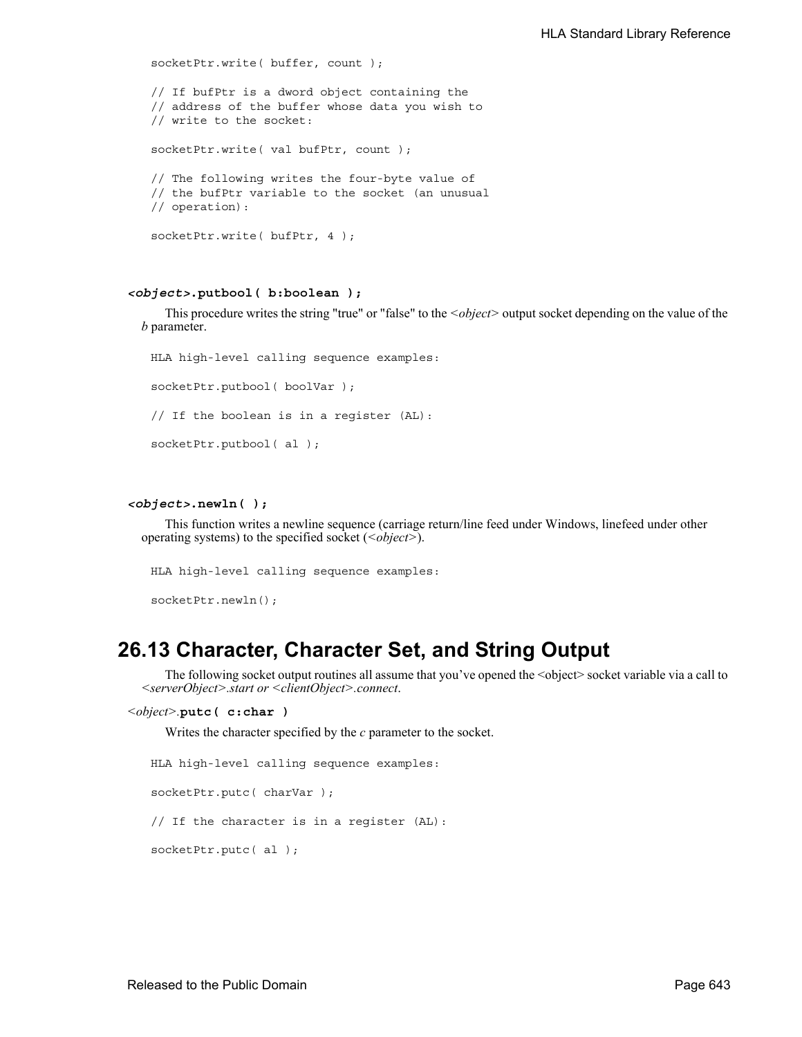```
socketPtr.write( buffer, count );
// If bufPtr is a dword object containing the
// address of the buffer whose data you wish to
// write to the socket:
socketPtr.write( val bufPtr, count );
// The following writes the four-byte value of
// the bufPtr variable to the socket (an unusual
// operation):
socketPtr.write( bufPtr, 4 );
```
#### *<object>***.putbool( b:boolean );**

This procedure writes the string "true" or "false" to the *<object>* output socket depending on the value of the *b* parameter.

```
HLA high-level calling sequence examples:
socketPtr.putbool( boolVar );
// If the boolean is in a register (AL):
socketPtr.putbool( al );
```
#### *<object>***.newln( );**

This function writes a newline sequence (carriage return/line feed under Windows, linefeed under other operating systems) to the specified socket (*<object>*).

```
HLA high-level calling sequence examples:
socketPtr.newln();
```
# **26.13 Character, Character Set, and String Output**

The following socket output routines all assume that you've opened the <object> socket variable via a call to *<serverObject>.start or <clientObject>.connect*.

```
<object>.putc( c:char )
```
Writes the character specified by the *c* parameter to the socket.

```
HLA high-level calling sequence examples:
socketPtr.putc( charVar );
// If the character is in a register (AL):
socketPtr.putc( al );
```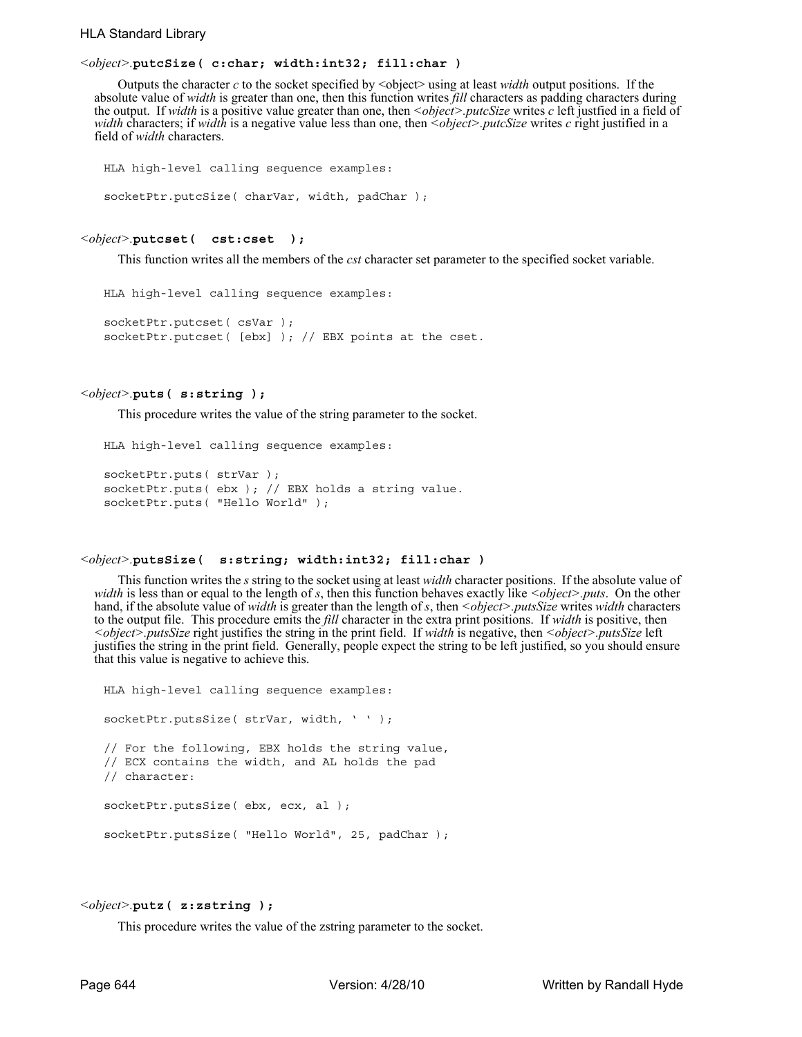## HLA Standard Library

## *<object>.***putcSize( c:char; width:int32; fill:char )**

Outputs the character *c* to the socket specified by <object> using at least *width* output positions. If the absolute value of *width* is greater than one, then this function writes *fill* characters as padding characters during the output. If *width* is a positive value greater than one, then *<object>.putcSize* writes *c* left justfied in a field of *width* characters; if *width* is a negative value less than one, then *<object>.putcSize* writes *c* right justified in a field of *width* characters.

```
HLA high-level calling sequence examples:
socketPtr.putcSize( charVar, width, padChar );
```
## *<object>.***putcset( cst:cset );**

This function writes all the members of the *cst* character set parameter to the specified socket variable.

```
socketPtr.putcset( csVar );
socketPtr.putcset( [ebx] ); // EBX points at the cset.
```
## *<object>.***puts( s:string );**

This procedure writes the value of the string parameter to the socket.

```
HLA high-level calling sequence examples:
```
HLA high-level calling sequence examples:

```
socketPtr.puts( strVar );
socketPtr.puts( ebx ); // EBX holds a string value.
socketPtr.puts( "Hello World" );
```
## *<object>.***putsSize( s:string; width:int32; fill:char )**

This function writes the *s* string to the socket using at least *width* character positions. If the absolute value of *width* is less than or equal to the length of *s*, then this function behaves exactly like *<object>.puts*. On the other hand, if the absolute value of *width* is greater than the length of *s*, then *<object>.putsSize* writes *width* characters to the output file. This procedure emits the *fill* character in the extra print positions. If *width* is positive, then *<object>.putsSize* right justifies the string in the print field. If *width* is negative, then *<object>.putsSize* left justifies the string in the print field. Generally, people expect the string to be left justified, so you should ensure that this value is negative to achieve this.

```
HLA high-level calling sequence examples:
socketPtr.putsSize( strVar, width, ' ' );
// For the following, EBX holds the string value,
// ECX contains the width, and AL holds the pad
// character:
socketPtr.putsSize( ebx, ecx, al );
socketPtr.putsSize( "Hello World", 25, padChar );
```
## *<object>.***putz( z:zstring );**

This procedure writes the value of the zstring parameter to the socket.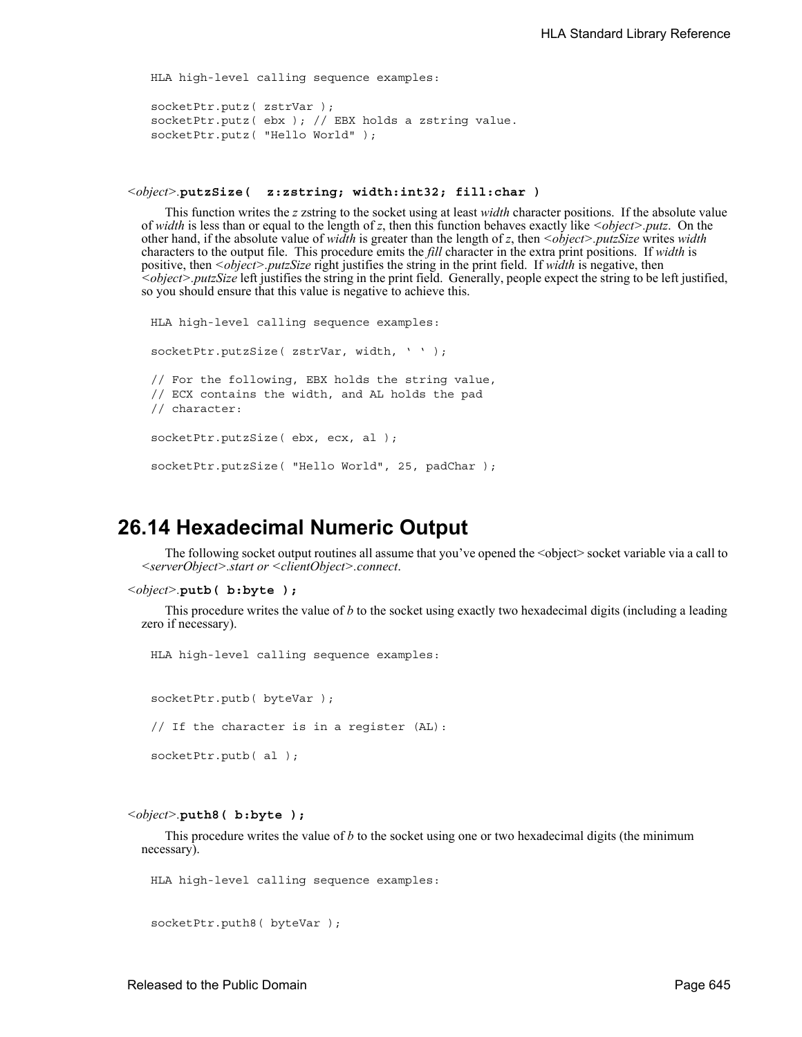```
HLA high-level calling sequence examples:
socketPtr.putz( zstrVar );
socketPtr.putz( ebx ); // EBX holds a zstring value.
socketPtr.putz( "Hello World" );
```
*<object>.***putzSize( z:zstring; width:int32; fill:char )**

This function writes the *z* zstring to the socket using at least *width* character positions. If the absolute value of *width* is less than or equal to the length of *z*, then this function behaves exactly like *<object>.putz*. On the other hand, if the absolute value of *width* is greater than the length of *z*, then *<object>.putzSize* writes *width* characters to the output file. This procedure emits the *fill* character in the extra print positions. If *width* is positive, then *<object>.putzSize* right justifies the string in the print field. If *width* is negative, then *<object>.putzSize* left justifies the string in the print field. Generally, people expect the string to be left justified, so you should ensure that this value is negative to achieve this.

HLA high-level calling sequence examples: socketPtr.putzSize( zstrVar, width, ' ' ); // For the following, EBX holds the string value, // ECX contains the width, and AL holds the pad // character: socketPtr.putzSize( ebx, ecx, al ); socketPtr.putzSize( "Hello World", 25, padChar );

## **26.14 Hexadecimal Numeric Output**

The following socket output routines all assume that you've opened the <object> socket variable via a call to *<serverObject>.start or <clientObject>.connect*.

```
<object>.putb( b:byte );
```
This procedure writes the value of *b* to the socket using exactly two hexadecimal digits (including a leading zero if necessary).

HLA high-level calling sequence examples:

socketPtr.putb( byteVar ); // If the character is in a register (AL): socketPtr.putb( al );

*<object>.***puth8( b:byte );**

This procedure writes the value of *b* to the socket using one or two hexadecimal digits (the minimum necessary).

HLA high-level calling sequence examples:

socketPtr.puth8( byteVar );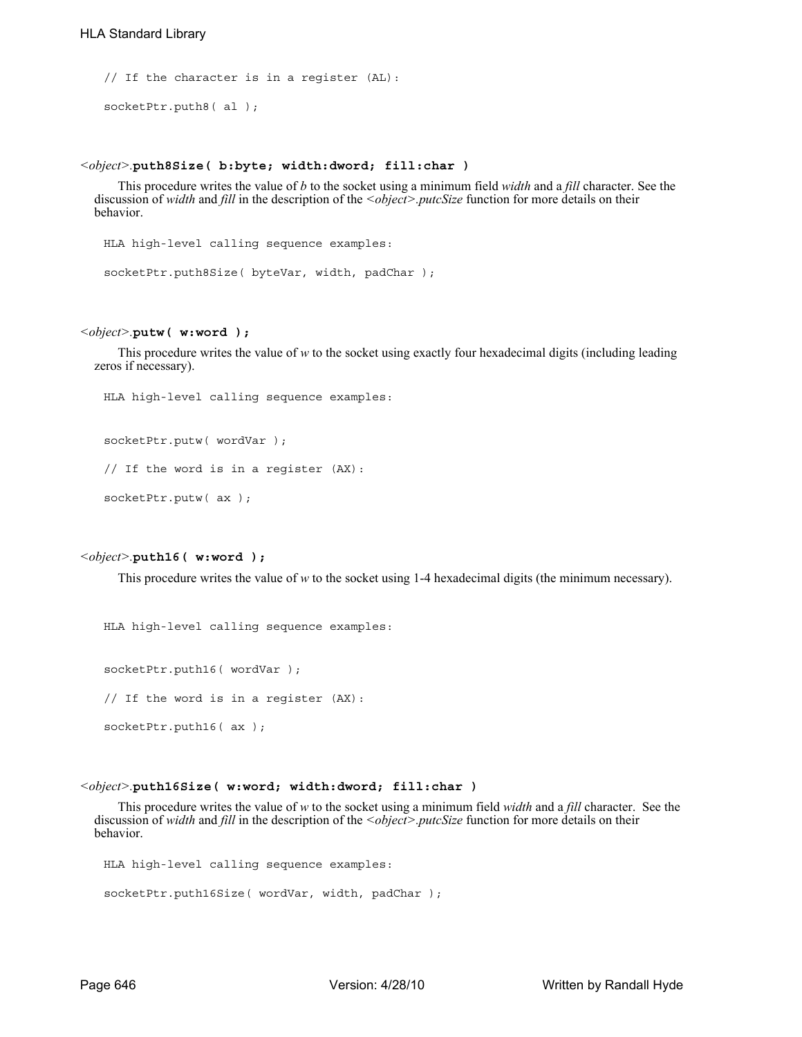```
// If the character is in a register (AL):
socketPtr.puth8(al);
```
#### *<object>.***puth8Size( b:byte; width:dword; fill:char )**

This procedure writes the value of *b* to the socket using a minimum field *width* and a *fill* character. See the discussion of *width* and *fill* in the description of the *<object>.putcSize* function for more details on their behavior.

```
HLA high-level calling sequence examples:
```

```
socketPtr.puth8Size( byteVar, width, padChar );
```
#### *<object>.***putw( w:word );**

This procedure writes the value of *w* to the socket using exactly four hexadecimal digits (including leading zeros if necessary).

```
HLA high-level calling sequence examples:
```

```
socketPtr.putw( wordVar );
```

```
// If the word is in a register (AX):
```

```
socketPtr.putw( ax );
```
## *<object>.***puth16( w:word );**

This procedure writes the value of *w* to the socket using 1-4 hexadecimal digits (the minimum necessary).

HLA high-level calling sequence examples:

socketPtr.puth16( wordVar );

// If the word is in a register (AX):

socketPtr.puth16( ax );

## *<object>.***puth16Size( w:word; width:dword; fill:char )**

This procedure writes the value of *w* to the socket using a minimum field *width* and a *fill* character. See the discussion of *width* and *fill* in the description of the *<object>.putcSize* function for more details on their behavior.

```
HLA high-level calling sequence examples:
```

```
socketPtr.puth16Size( wordVar, width, padChar );
```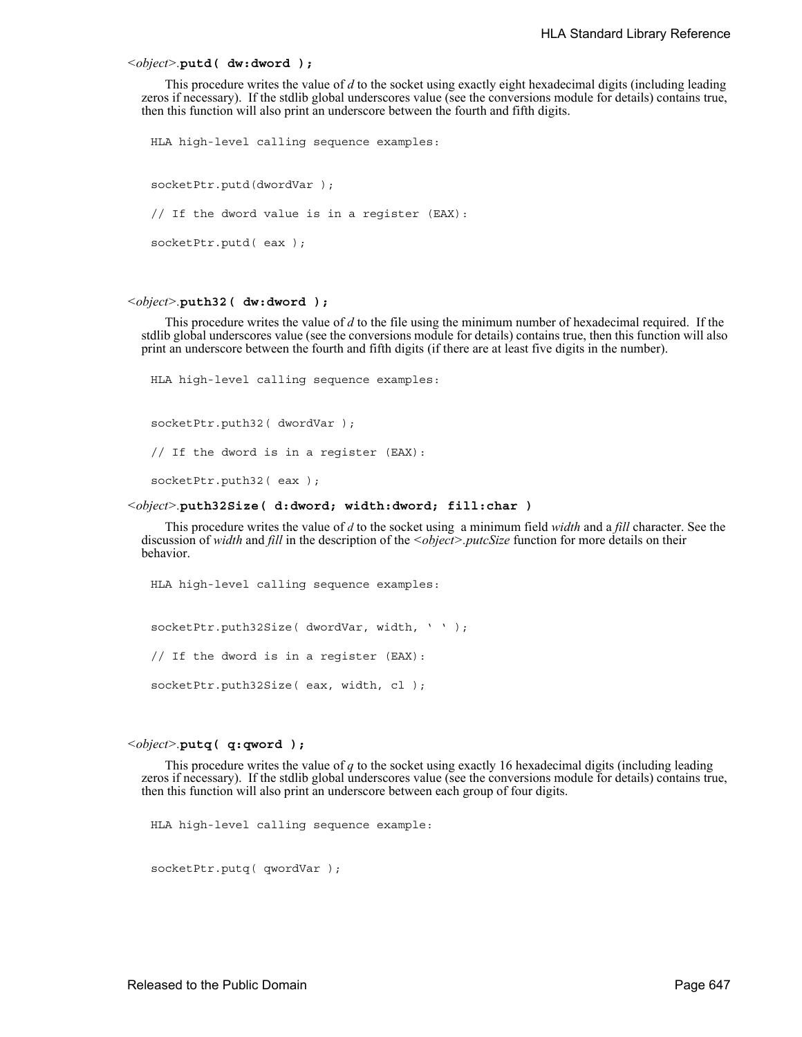## *<object>.***putd( dw:dword );**

This procedure writes the value of *d* to the socket using exactly eight hexadecimal digits (including leading zeros if necessary). If the stdlib global underscores value (see the conversions module for details) contains true, then this function will also print an underscore between the fourth and fifth digits.

```
HLA high-level calling sequence examples:
socketPtr.putd(dwordVar );
// If the dword value is in a register (EAX):
socketPtr.putd( eax );
```
## *<object>.***puth32( dw:dword );**

This procedure writes the value of *d* to the file using the minimum number of hexadecimal required. If the stdlib global underscores value (see the conversions module for details) contains true, then this function will also print an underscore between the fourth and fifth digits (if there are at least five digits in the number).

HLA high-level calling sequence examples: socketPtr.puth32( dwordVar ); // If the dword is in a register (EAX): socketPtr.puth32(eax);

#### *<object>.***puth32Size( d:dword; width:dword; fill:char )**

This procedure writes the value of *d* to the socket using a minimum field *width* and a *fill* character. See the discussion of *width* and *fill* in the description of the *<object>.putcSize* function for more details on their behavior.

HLA high-level calling sequence examples:

socketPtr.puth32Size( dwordVar, width, ' ' );

// If the dword is in a register (EAX):

socketPtr.puth32Size( eax, width, cl );

#### *<object>.***putq( q:qword );**

This procedure writes the value of *q* to the socket using exactly 16 hexadecimal digits (including leading zeros if necessary). If the stdlib global underscores value (see the conversions module for details) contains true, then this function will also print an underscore between each group of four digits.

HLA high-level calling sequence example:

socketPtr.putq( qwordVar );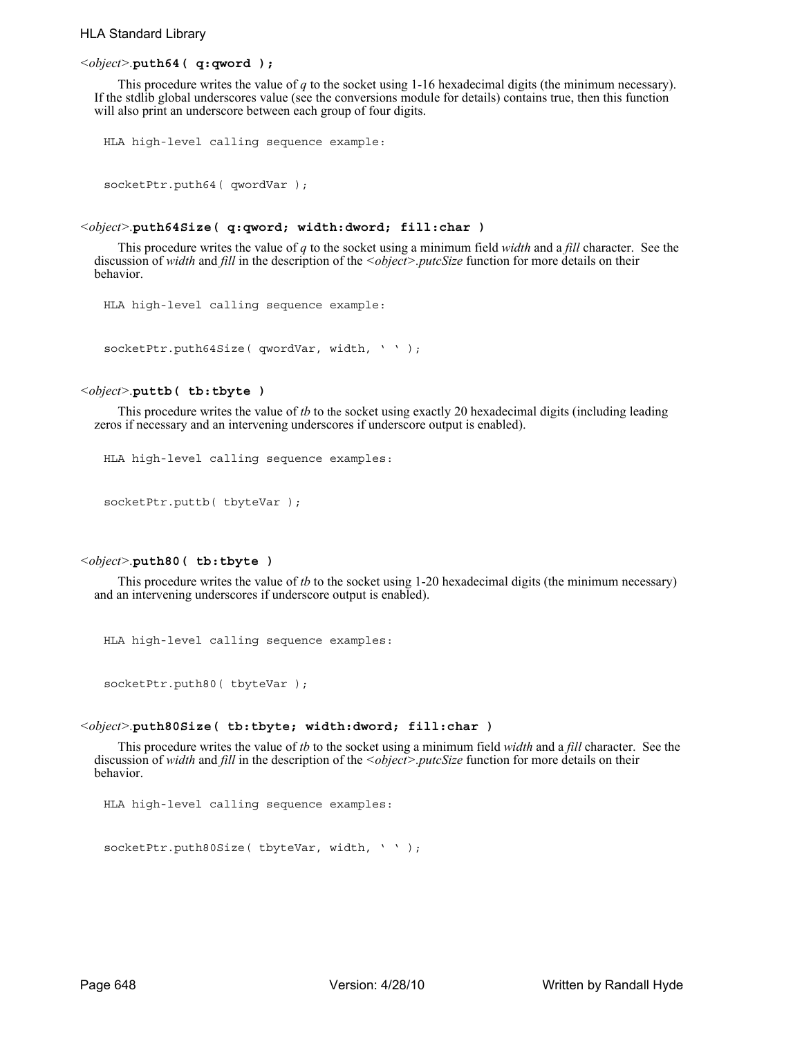## HLA Standard Library

### *<object>.***puth64( q:qword );**

This procedure writes the value of *q* to the socket using 1-16 hexadecimal digits (the minimum necessary). If the stdlib global underscores value (see the conversions module for details) contains true, then this function will also print an underscore between each group of four digits.

```
HLA high-level calling sequence example:
```

```
socketPtr.puth64( qwordVar );
```
## *<object>.***puth64Size( q:qword; width:dword; fill:char )**

This procedure writes the value of *q* to the socket using a minimum field *width* and a *fill* character. See the discussion of *width* and *fill* in the description of the *<object>.putcSize* function for more details on their behavior.

```
HLA high-level calling sequence example:
```

```
socketPtr.puth64Size( qwordVar, width, ' ' );
```
*<object>.***puttb( tb:tbyte )**

This procedure writes the value of *tb* to the socket using exactly 20 hexadecimal digits (including leading zeros if necessary and an intervening underscores if underscore output is enabled).

```
HLA high-level calling sequence examples:
```

```
socketPtr.puttb( tbyteVar );
```
## *<object>.***puth80( tb:tbyte )**

This procedure writes the value of *tb* to the socket using 1-20 hexadecimal digits (the minimum necessary) and an intervening underscores if underscore output is enabled).

```
HLA high-level calling sequence examples:
```
socketPtr.puth80( tbyteVar );

## *<object>.***puth80Size( tb:tbyte; width:dword; fill:char )**

This procedure writes the value of *tb* to the socket using a minimum field *width* and a *fill* character. See the discussion of *width* and *fill* in the description of the *<object>.putcSize* function for more details on their behavior.

```
HLA high-level calling sequence examples:
```
socketPtr.puth80Size( tbyteVar, width, ' ' );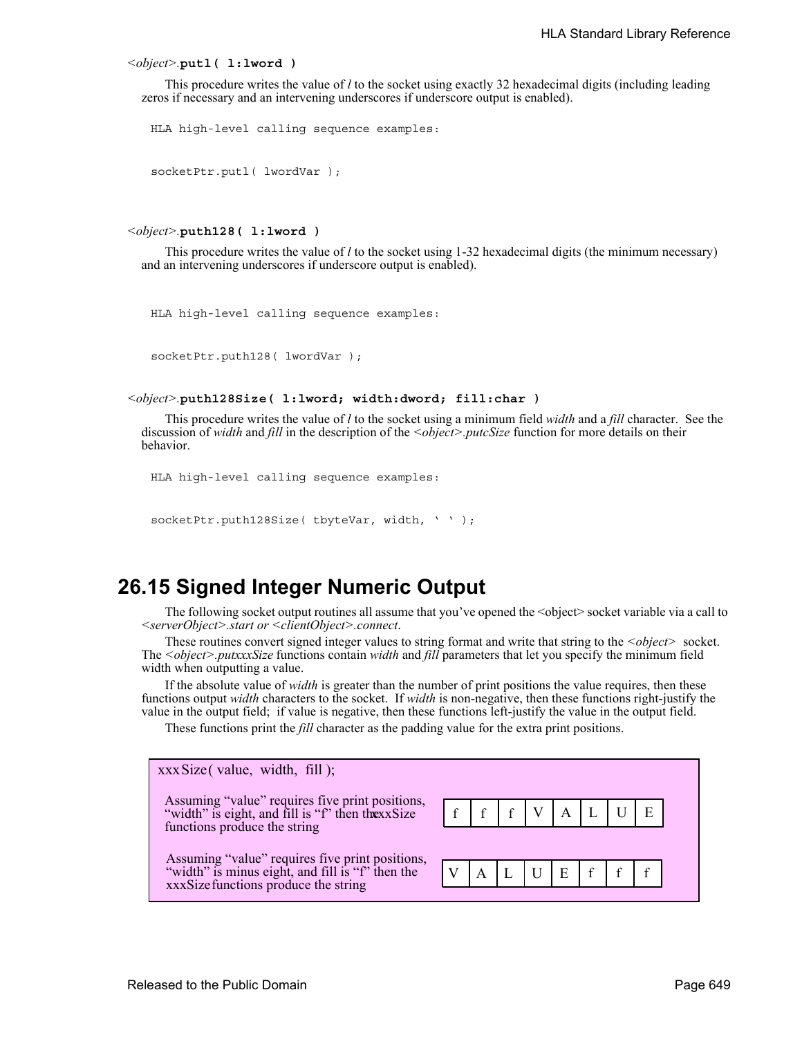## *<object>.***putl( l:lword )**

This procedure writes the value of *l* to the socket using exactly 32 hexadecimal digits (including leading zeros if necessary and an intervening underscores if underscore output is enabled).

```
HLA high-level calling sequence examples:
```
socketPtr.putl( lwordVar );

*<object>.***puth128( l:lword )**

This procedure writes the value of *l* to the socket using 1-32 hexadecimal digits (the minimum necessary) and an intervening underscores if underscore output is enabled).

HLA high-level calling sequence examples:

```
socketPtr.puth128( lwordVar );
```
*<object>.***puth128Size( l:lword; width:dword; fill:char )**

This procedure writes the value of *l* to the socket using a minimum field *width* and a *fill* character. See the discussion of *width* and *fill* in the description of the *<object>.putcSize* function for more details on their behavior.

HLA high-level calling sequence examples:

```
socketPtr.puth128Size( tbyteVar, width, ' ' );
```
# **26.15 Signed Integer Numeric Output**

The following socket output routines all assume that you've opened the <object> socket variable via a call to *<serverObject>.start or <clientObject>.connect*.

These routines convert signed integer values to string format and write that string to the *<object>* socket. The *<object>.putxxxSize* functions contain *width* and *fill* parameters that let you specify the minimum field width when outputting a value.

If the absolute value of *width* is greater than the number of print positions the value requires, then these functions output *width* characters to the socket. If *width* is non-negative, then these functions right-justify the value in the output field; if value is negative, then these functions left-justify the value in the output field.

These functions print the *fill* character as the padding value for the extra print positions.

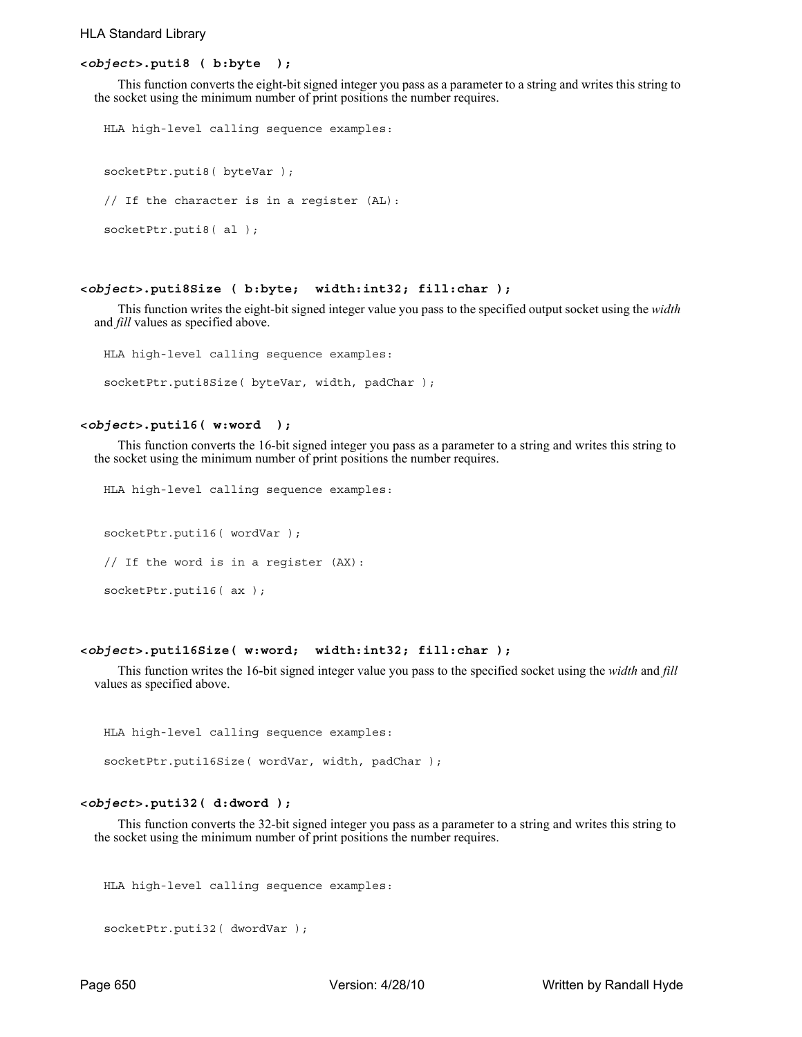#### HLA Standard Library

#### **<***object***>.puti8 ( b:byte );**

This function converts the eight-bit signed integer you pass as a parameter to a string and writes this string to the socket using the minimum number of print positions the number requires.

```
HLA high-level calling sequence examples:
socketPtr.puti8( byteVar );
// If the character is in a register (AL):
socketPtr.puti8(al);
```
## **<***object***>.puti8Size ( b:byte; width:int32; fill:char );**

This function writes the eight-bit signed integer value you pass to the specified output socket using the *width* and *fill* values as specified above.

HLA high-level calling sequence examples:

socketPtr.puti8Size( byteVar, width, padChar );

#### **<***object***>.puti16( w:word );**

This function converts the 16-bit signed integer you pass as a parameter to a string and writes this string to the socket using the minimum number of print positions the number requires.

HLA high-level calling sequence examples:

socketPtr.puti16( wordVar ); // If the word is in a register (AX): socketPtr.puti16( ax );

#### **<***object***>.puti16Size( w:word; width:int32; fill:char );**

This function writes the 16-bit signed integer value you pass to the specified socket using the *width* and *fill* values as specified above.

HLA high-level calling sequence examples:

socketPtr.puti16Size( wordVar, width, padChar );

#### **<***object***>.puti32( d:dword );**

This function converts the 32-bit signed integer you pass as a parameter to a string and writes this string to the socket using the minimum number of print positions the number requires.

```
HLA high-level calling sequence examples:
```

```
socketPtr.puti32( dwordVar );
```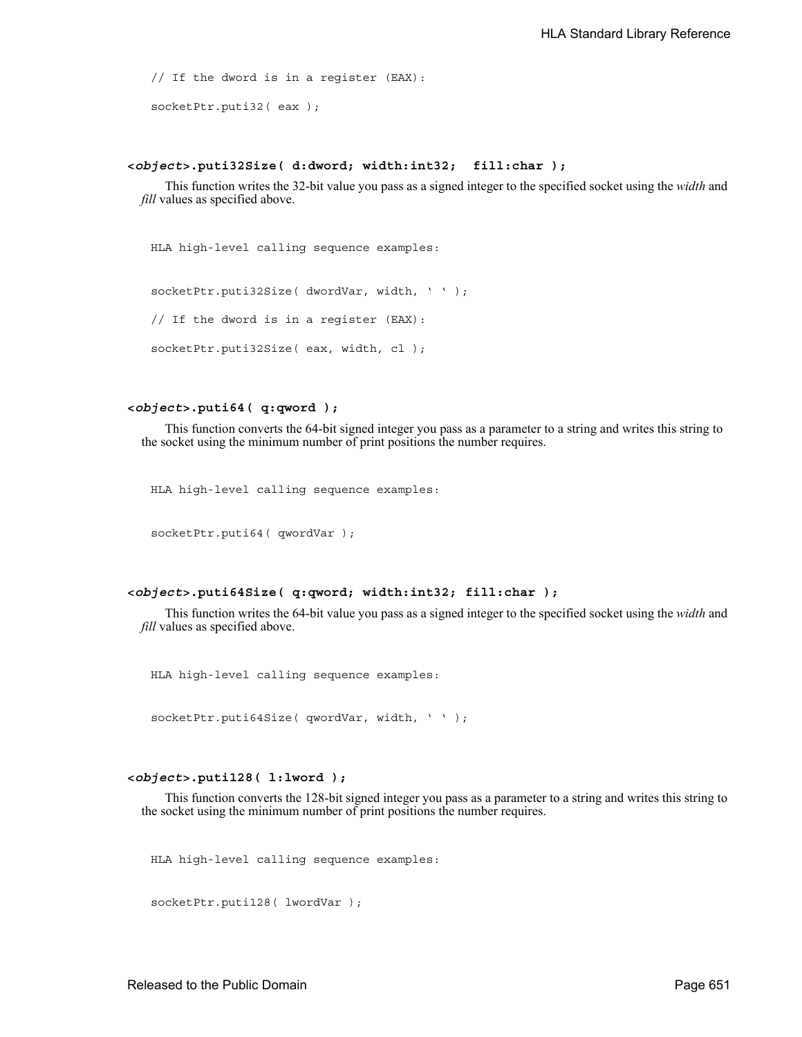// If the dword is in a register (EAX):

socketPtr.puti32(eax);

### **<***object***>.puti32Size( d:dword; width:int32; fill:char );**

This function writes the 32-bit value you pass as a signed integer to the specified socket using the *width* and *fill* values as specified above.

HLA high-level calling sequence examples: socketPtr.puti32Size( dwordVar, width, ' ' ); // If the dword is in a register (EAX): socketPtr.puti32Size( eax, width, cl );

## **<***object***>.puti64( q:qword );**

This function converts the 64-bit signed integer you pass as a parameter to a string and writes this string to the socket using the minimum number of print positions the number requires.

HLA high-level calling sequence examples:

```
socketPtr.puti64( qwordVar );
```
#### **<***object***>.puti64Size( q:qword; width:int32; fill:char );**

This function writes the 64-bit value you pass as a signed integer to the specified socket using the *width* and *fill* values as specified above.

HLA high-level calling sequence examples:

socketPtr.puti64Size( qwordVar, width, ' ' );

## **<***object***>.puti128( l:lword );**

This function converts the 128-bit signed integer you pass as a parameter to a string and writes this string to the socket using the minimum number of print positions the number requires.

HLA high-level calling sequence examples:

socketPtr.puti128( lwordVar );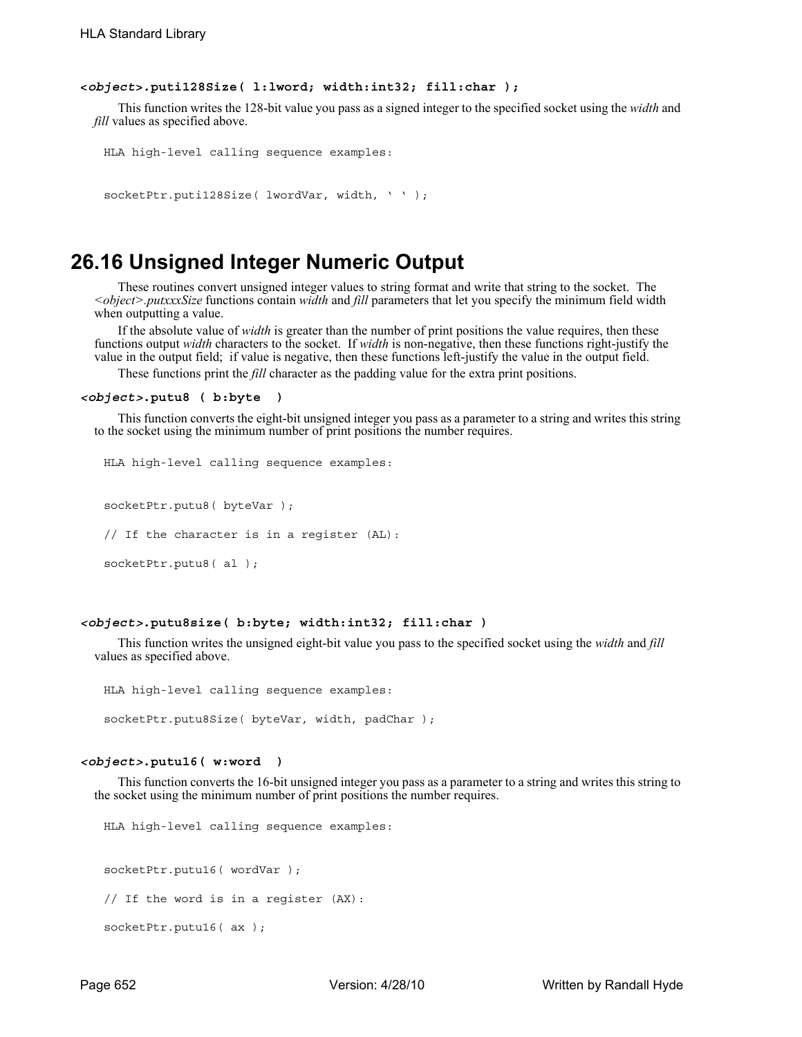## **<***object***>.puti128Size( l:lword; width:int32; fill:char );**

This function writes the 128-bit value you pass as a signed integer to the specified socket using the *width* and *fill* values as specified above.

```
HLA high-level calling sequence examples:
```
socketPtr.puti128Size( lwordVar, width, ' ' );

## **26.16 Unsigned Integer Numeric Output**

These routines convert unsigned integer values to string format and write that string to the socket. The *<object>.putxxxSize* functions contain *width* and *fill* parameters that let you specify the minimum field width when outputting a value.

If the absolute value of *width* is greater than the number of print positions the value requires, then these functions output *width* characters to the socket. If *width* is non-negative, then these functions right-justify the value in the output field; if value is negative, then these functions left-justify the value in the output field.

These functions print the *fill* character as the padding value for the extra print positions.

#### *<object>***.putu8 ( b:byte )**

This function converts the eight-bit unsigned integer you pass as a parameter to a string and writes this string to the socket using the minimum number of print positions the number requires.

```
HLA high-level calling sequence examples:
socketPtr.putu8( byteVar );
// If the character is in a register (AL):
socketPtr.putu8(al);
```
## *<object>***.putu8size( b:byte; width:int32; fill:char )**

This function writes the unsigned eight-bit value you pass to the specified socket using the *width* and *fill* values as specified above.

HLA high-level calling sequence examples:

socketPtr.putu8Size( byteVar, width, padChar );

#### *<object>***.putu16( w:word )**

This function converts the 16-bit unsigned integer you pass as a parameter to a string and writes this string to the socket using the minimum number of print positions the number requires.

HLA high-level calling sequence examples:

socketPtr.putu16( wordVar ); // If the word is in a register (AX):

socketPtr.putu16( ax );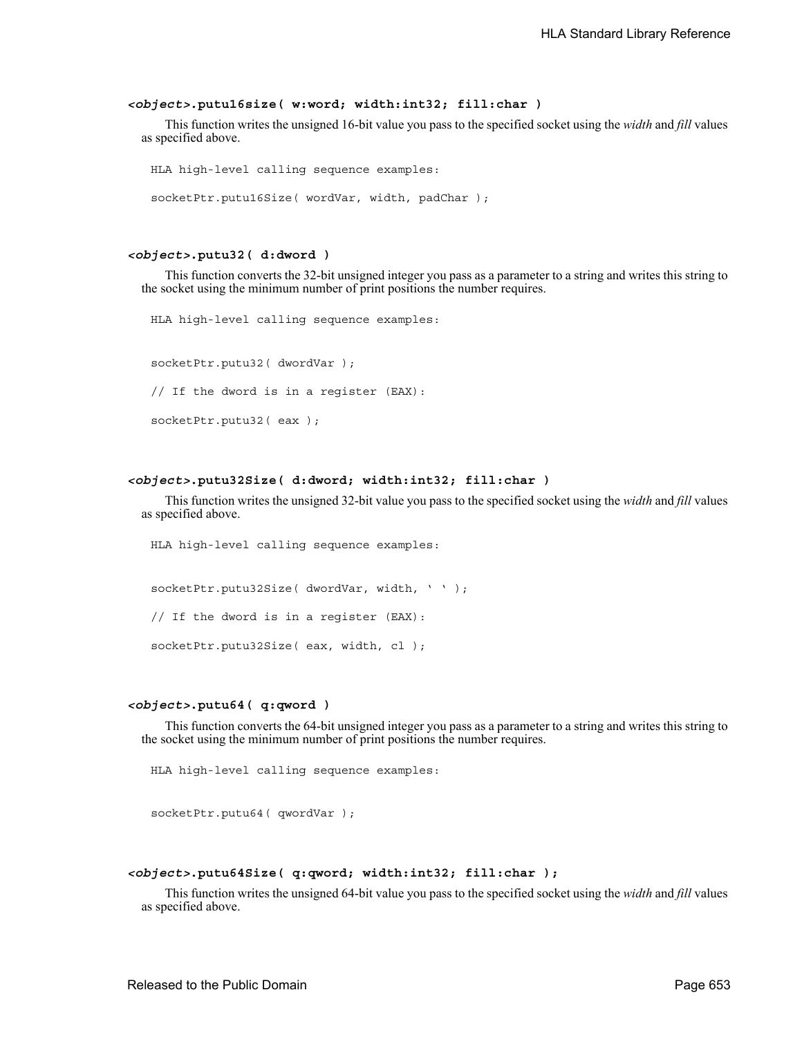#### *<object>***.putu16size( w:word; width:int32; fill:char )**

This function writes the unsigned 16-bit value you pass to the specified socket using the *width* and *fill* values as specified above.

```
HLA high-level calling sequence examples:
socketPtr.putu16Size( wordVar, width, padChar );
```
#### *<object>***.putu32( d:dword )**

This function converts the 32-bit unsigned integer you pass as a parameter to a string and writes this string to the socket using the minimum number of print positions the number requires.

HLA high-level calling sequence examples: socketPtr.putu32( dwordVar ); // If the dword is in a register (EAX): socketPtr.putu32( eax );

#### *<object>***.putu32Size( d:dword; width:int32; fill:char )**

This function writes the unsigned 32-bit value you pass to the specified socket using the *width* and *fill* values as specified above.

HLA high-level calling sequence examples: socketPtr.putu32Size( dwordVar, width, ' ' ); // If the dword is in a register (EAX): socketPtr.putu32Size( eax, width, cl );

## *<object>***.putu64( q:qword )**

This function converts the 64-bit unsigned integer you pass as a parameter to a string and writes this string to the socket using the minimum number of print positions the number requires.

HLA high-level calling sequence examples:

socketPtr.putu64( qwordVar );

#### *<object>***.putu64Size( q:qword; width:int32; fill:char );**

This function writes the unsigned 64-bit value you pass to the specified socket using the *width* and *fill* values as specified above.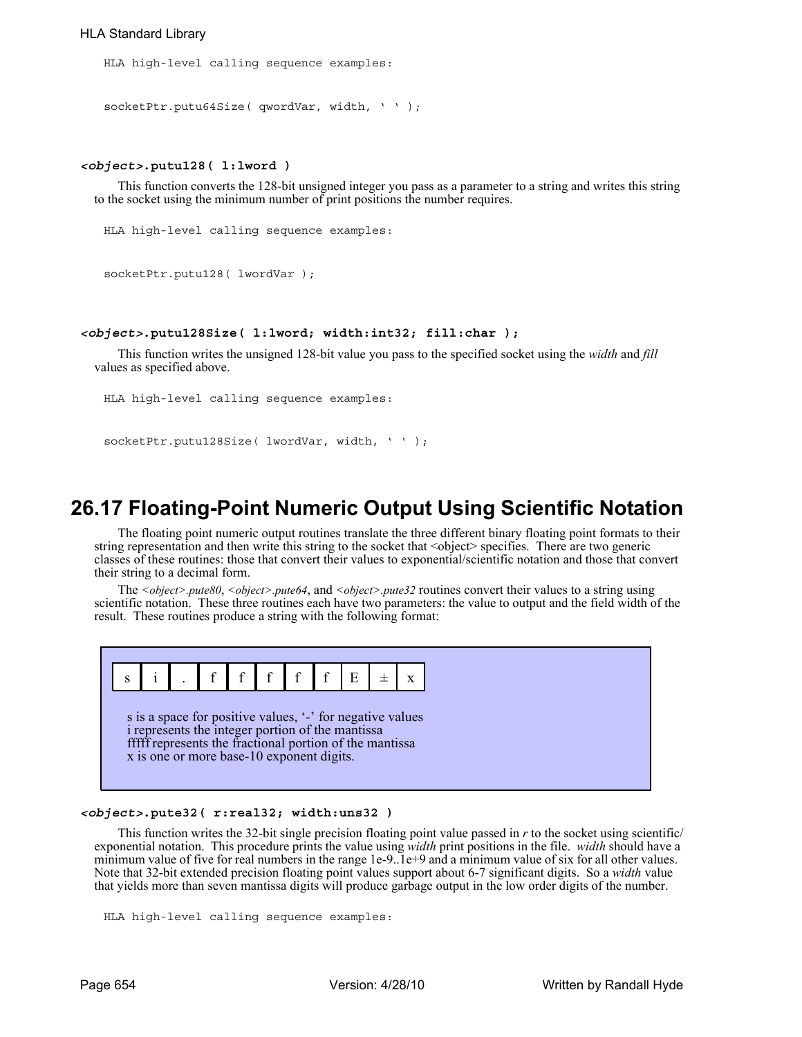## HLA Standard Library

HLA high-level calling sequence examples:

```
socketPtr.putu64Size( qwordVar, width, ' ' );
```
#### *<object>***.putu128( l:lword )**

This function converts the 128-bit unsigned integer you pass as a parameter to a string and writes this string to the socket using the minimum number of print positions the number requires.

```
HLA high-level calling sequence examples:
```

```
socketPtr.putu128( lwordVar );
```
#### *<object>***.putu128Size( l:lword; width:int32; fill:char );**

This function writes the unsigned 128-bit value you pass to the specified socket using the *width* and *fill* values as specified above.

```
HLA high-level calling sequence examples:
```

```
socketPtr.putu128Size( lwordVar, width, ' ' );
```
## **26.17 Floating-Point Numeric Output Using Scientific Notation**

The floating point numeric output routines translate the three different binary floating point formats to their string representation and then write this string to the socket that <object> specifies. There are two generic classes of these routines: those that convert their values to exponential/scientific notation and those that convert their string to a decimal form.

The *<object>.pute80*, *<object>.pute64*, and *<object>.pute32* routines convert their values to a string using scientific notation. These three routines each have two parameters: the value to output and the field width of the result. These routines produce a string with the following format:

| $s \mid i \mid$ . $f \mid f \mid f \mid f \mid f \mid E \mid \pm$                                                                                                                                                     |  |
|-----------------------------------------------------------------------------------------------------------------------------------------------------------------------------------------------------------------------|--|
| s is a space for positive values, '-' for negative values<br>i represents the integer portion of the mantissa<br>fffff represents the fractional portion of the mantissa<br>x is one or more base-10 exponent digits. |  |

## *<object>***.pute32( r:real32; width:uns32 )**

This function writes the 32-bit single precision floating point value passed in *r* to the socket using scientific/ exponential notation. This procedure prints the value using *width* print positions in the file. *width* should have a minimum value of five for real numbers in the range 1e-9..1e+9 and a minimum value of six for all other values. Note that 32-bit extended precision floating point values support about 6-7 significant digits. So a *width* value that yields more than seven mantissa digits will produce garbage output in the low order digits of the number.

```
HLA high-level calling sequence examples:
```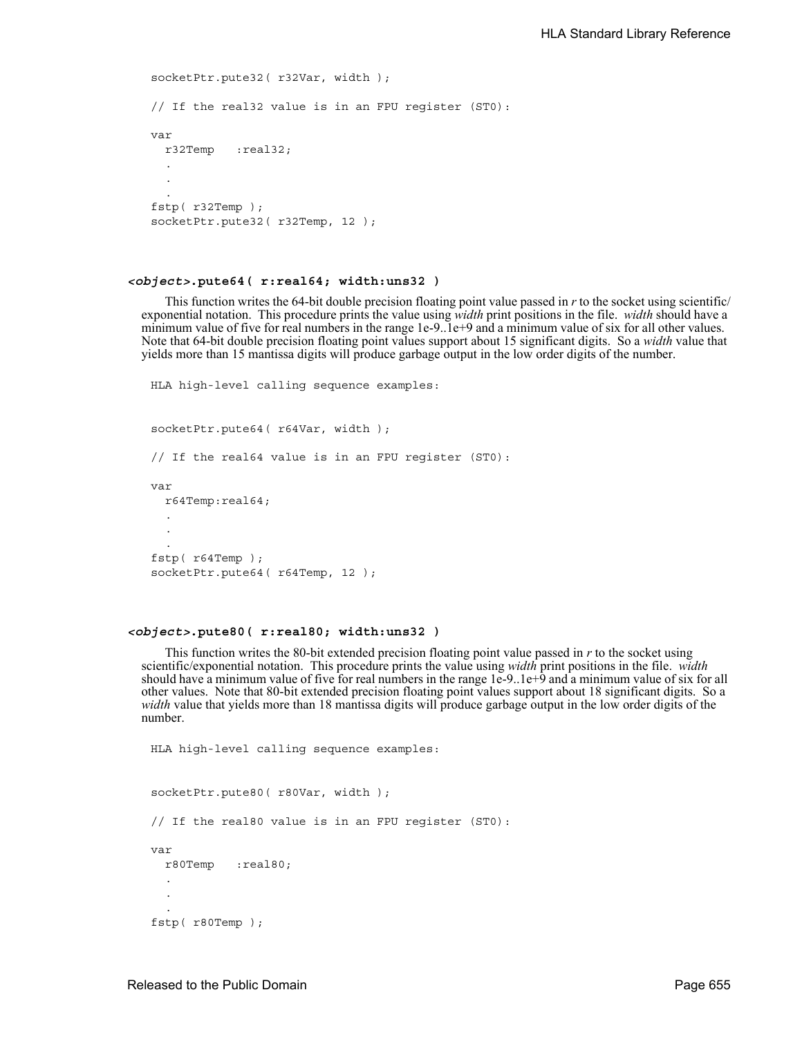```
socketPtr.pute32( r32Var, width );
// If the real32 value is in an FPU register (ST0):
var
 r32Temp :real32;
  .
  .
  .
fstp( r32Temp );
socketPtr.pute32(r32Temp, 12);
```
#### *<object>***.pute64( r:real64; width:uns32 )**

This function writes the 64-bit double precision floating point value passed in *r* to the socket using scientific/ exponential notation. This procedure prints the value using *width* print positions in the file. *width* should have a minimum value of five for real numbers in the range 1e-9..1e+9 and a minimum value of six for all other values. Note that 64-bit double precision floating point values support about 15 significant digits. So a *width* value that yields more than 15 mantissa digits will produce garbage output in the low order digits of the number.

```
HLA high-level calling sequence examples:
socketPtr.pute64( r64Var, width );
// If the real64 value is in an FPU register (ST0):
var
  r64Temp:real64;
  .
  .
  .
fstp( r64Temp );
socketPtr.pute64( r64Temp, 12 );
```
#### *<object>***.pute80( r:real80; width:uns32 )**

This function writes the 80-bit extended precision floating point value passed in *r* to the socket using scientific/exponential notation. This procedure prints the value using *width* print positions in the file. *width* should have a minimum value of five for real numbers in the range 1e-9..1e+9 and a minimum value of six for all other values. Note that 80-bit extended precision floating point values support about 18 significant digits. So a *width* value that yields more than 18 mantissa digits will produce garbage output in the low order digits of the number.

```
HLA high-level calling sequence examples:
socketPtr.pute80( r80Var, width );
// If the real80 value is in an FPU register (ST0):
var
  r80Temp :real80;
  .
  .
  .
fstp( r80Temp );
```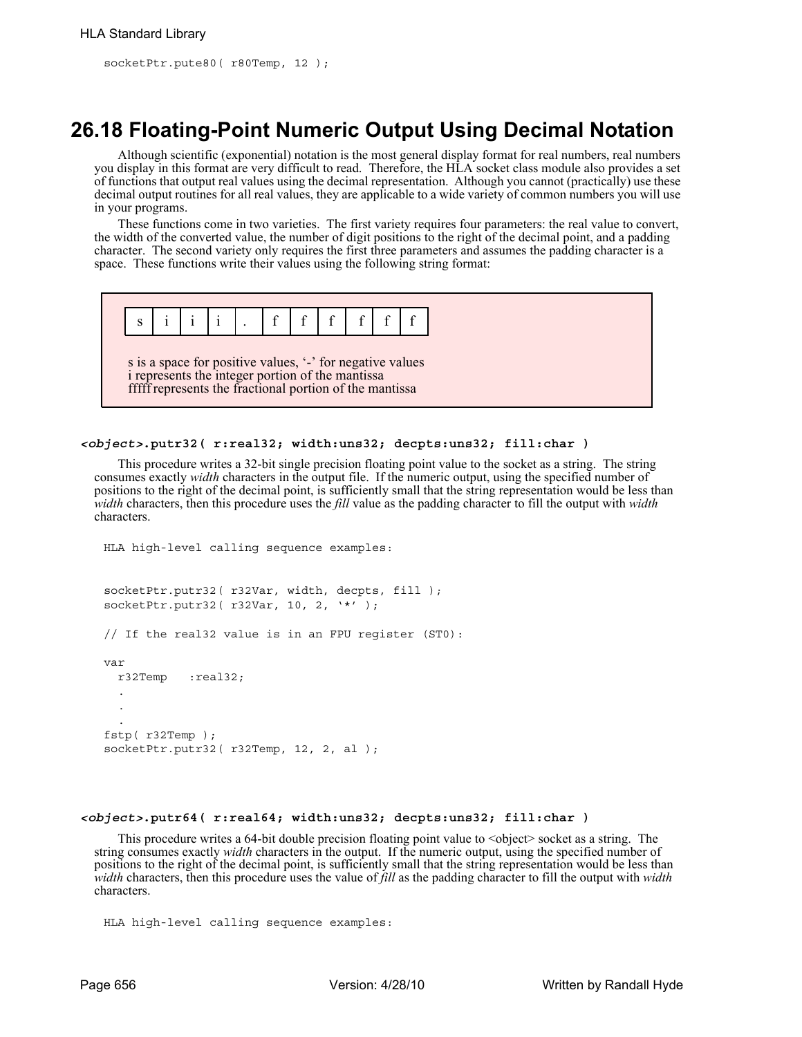```
socketPtr.pute80( r80Temp, 12 );
```
# **26.18 Floating-Point Numeric Output Using Decimal Notation**

Although scientific (exponential) notation is the most general display format for real numbers, real numbers you display in this format are very difficult to read. Therefore, the HLA socket class module also provides a set of functions that output real values using the decimal representation. Although you cannot (practically) use these decimal output routines for all real values, they are applicable to a wide variety of common numbers you will use in your programs.

These functions come in two varieties. The first variety requires four parameters: the real value to convert, the width of the converted value, the number of digit positions to the right of the decimal point, and a padding character. The second variety only requires the first three parameters and assumes the padding character is a space. These functions write their values using the following string format:



#### *<object>***.putr32( r:real32; width:uns32; decpts:uns32; fill:char )**

This procedure writes a 32-bit single precision floating point value to the socket as a string. The string consumes exactly *width* characters in the output file. If the numeric output, using the specified number of positions to the right of the decimal point, is sufficiently small that the string representation would be less than *width* characters, then this procedure uses the *fill* value as the padding character to fill the output with *width* characters.

```
HLA high-level calling sequence examples:
socketPtr.putr32( r32Var, width, decpts, fill );
socketPtr.putr32( r32Var, 10, 2, '*' );
// If the real32 value is in an FPU register (ST0):
var
 r32Temp :real32;
  .
  .
  .
fstp( r32Temp );
socketPtr.putr32( r32Temp, 12, 2, al );
```
#### *<object>***.putr64( r:real64; width:uns32; decpts:uns32; fill:char )**

This procedure writes a 64-bit double precision floating point value to  $\leq$  object  $\geq$  socket as a string. The string consumes exactly *width* characters in the output. If the numeric output, using the specified number of positions to the right of the decimal point, is sufficiently small that the string representation would be less than *width* characters, then this procedure uses the value of *fill* as the padding character to fill the output with *width* characters.

```
HLA high-level calling sequence examples:
```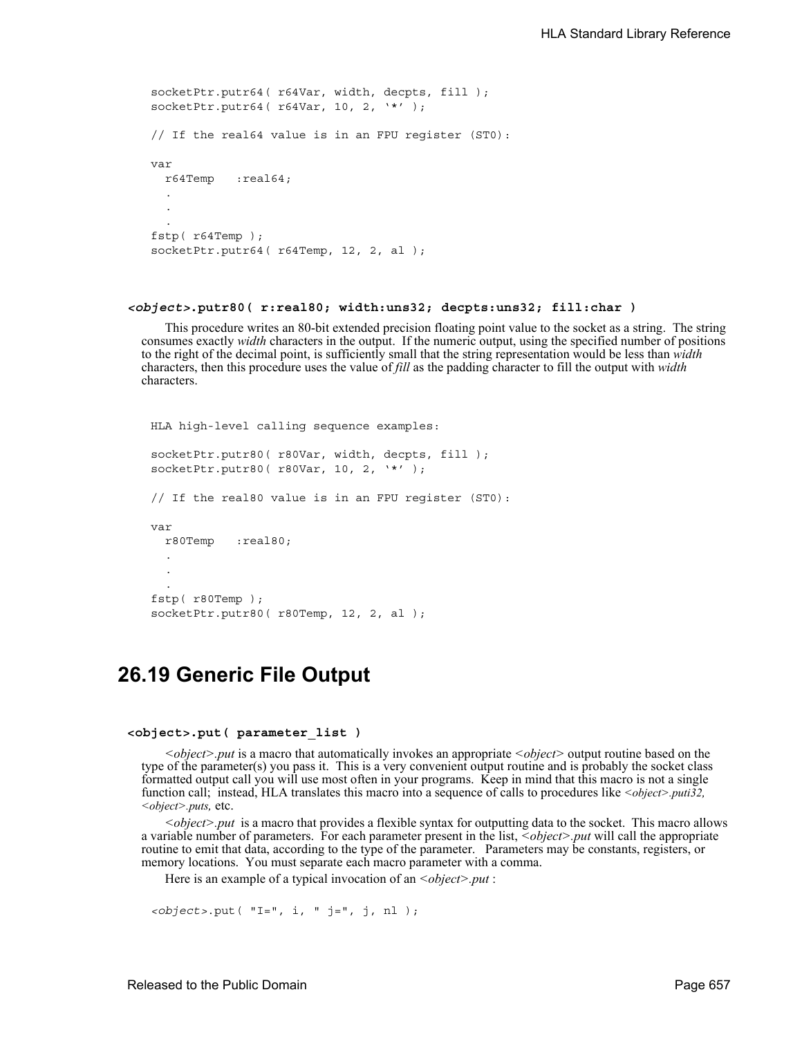```
socketPtr.putr64( r64Var, width, decpts, fill );
socketPtr.putr64( r64Var, 10, 2, '*' );
// If the real64 value is in an FPU register (ST0):
var
 r64Temp :real64;
  .
  .
  .
fstp( r64Temp );
socketPtr.putr64( r64Temp, 12, 2, al );
```
#### *<object>***.putr80( r:real80; width:uns32; decpts:uns32; fill:char )**

This procedure writes an 80-bit extended precision floating point value to the socket as a string. The string consumes exactly *width* characters in the output. If the numeric output, using the specified number of positions to the right of the decimal point, is sufficiently small that the string representation would be less than *width* characters, then this procedure uses the value of *fill* as the padding character to fill the output with *width* characters.

```
HLA high-level calling sequence examples:
socketPtr.putr80( r80Var, width, decpts, fill );
socketPtr.putr80( r80Var, 10, 2, '*' );
// If the real80 value is in an FPU register (ST0):
var
 r80Temp :real80;
  .
  .
  .
fstp( r80Temp );
socketPtr.putr80( r80Temp, 12, 2, al );
```
## **26.19 Generic File Output**

### **<object>.put( parameter\_list )**

*<object>.put* is a macro that automatically invokes an appropriate *<object>* output routine based on the type of the parameter(s) you pass it. This is a very convenient output routine and is probably the socket class formatted output call you will use most often in your programs. Keep in mind that this macro is not a single function call; instead, HLA translates this macro into a sequence of calls to procedures like *<object>.puti32, <object>.puts,* etc.

*<object>.put* is a macro that provides a flexible syntax for outputting data to the socket. This macro allows a variable number of parameters. For each parameter present in the list, *<object>.put* will call the appropriate routine to emit that data, according to the type of the parameter. Parameters may be constants, registers, or memory locations. You must separate each macro parameter with a comma.

Here is an example of a typical invocation of an *<object>.put* :

*<object>*.put( "I=", i, " j=", j, nl );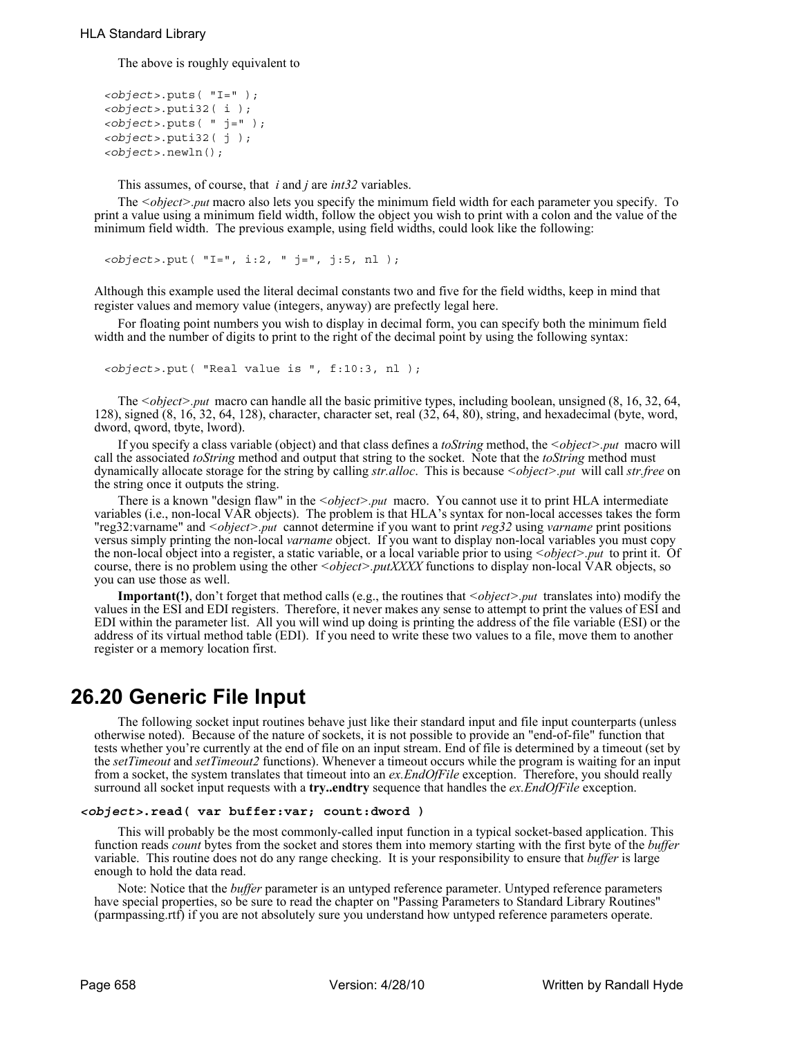The above is roughly equivalent to

```
<object>.puts( "I=" );
<object>.puti32( i );
<object>.puts( " j=" );
<object>.puti32( j );
<object>.newln();
```
This assumes, of course, that *i* and *j* are *int32* variables.

The *<object>.put* macro also lets you specify the minimum field width for each parameter you specify. To print a value using a minimum field width, follow the object you wish to print with a colon and the value of the minimum field width. The previous example, using field widths, could look like the following:

*<object>*.put( "I=", i:2, " j=", j:5, nl );

Although this example used the literal decimal constants two and five for the field widths, keep in mind that register values and memory value (integers, anyway) are prefectly legal here.

For floating point numbers you wish to display in decimal form, you can specify both the minimum field width and the number of digits to print to the right of the decimal point by using the following syntax:

*<object>*.put( "Real value is ", f:10:3, nl );

The *<object>.put* macro can handle all the basic primitive types, including boolean, unsigned (8, 16, 32, 64, 128), signed (8, 16, 32, 64, 128), character, character set, real (32, 64, 80), string, and hexadecimal (byte, word, dword, qword, tbyte, lword).

If you specify a class variable (object) and that class defines a *toString* method, the *<object>.put* macro will call the associated *toString* method and output that string to the socket. Note that the *toString* method must dynamically allocate storage for the string by calling *str.alloc*. This is because *<object>.put* will call *str.free* on the string once it outputs the string.

There is a known "design flaw" in the *<object>.put* macro. You cannot use it to print HLA intermediate variables (i.e., non-local VAR objects). The problem is that HLA's syntax for non-local accesses takes the form "reg32:varname" and *<object>.put* cannot determine if you want to print *reg32* using *varname* print positions versus simply printing the non-local *varname* object. If you want to display non-local variables you must copy the non-local object into a register, a static variable, or a local variable prior to using *<object>.put* to print it. Of course, there is no problem using the other *<object>.putXXXX* functions to display non-local VAR objects, so you can use those as well.

**Important(!)**, don't forget that method calls (e.g., the routines that *<object>.put* translates into) modify the values in the ESI and EDI registers. Therefore, it never makes any sense to attempt to print the values of ESI and EDI within the parameter list. All you will wind up doing is printing the address of the file variable (ESI) or the address of its virtual method table (EDI). If you need to write these two values to a file, move them to another register or a memory location first.

# **26.20 Generic File Input**

The following socket input routines behave just like their standard input and file input counterparts (unless otherwise noted). Because of the nature of sockets, it is not possible to provide an "end-of-file" function that tests whether you're currently at the end of file on an input stream. End of file is determined by a timeout (set by the *setTimeout* and *setTimeout2* functions). Whenever a timeout occurs while the program is waiting for an input from a socket, the system translates that timeout into an *ex.EndOfFile* exception. Therefore, you should really surround all socket input requests with a **try..endtry** sequence that handles the *ex.EndOfFile* exception.

#### *<object>***.read( var buffer:var; count:dword )**

This will probably be the most commonly-called input function in a typical socket-based application. This function reads *count* bytes from the socket and stores them into memory starting with the first byte of the *buffer* variable. This routine does not do any range checking. It is your responsibility to ensure that *buffer* is large enough to hold the data read.

Note: Notice that the *buffer* parameter is an untyped reference parameter. Untyped reference parameters have special properties, so be sure to read the chapter on "Passing Parameters to Standard Library Routines" (parmpassing.rtf) if you are not absolutely sure you understand how untyped reference parameters operate.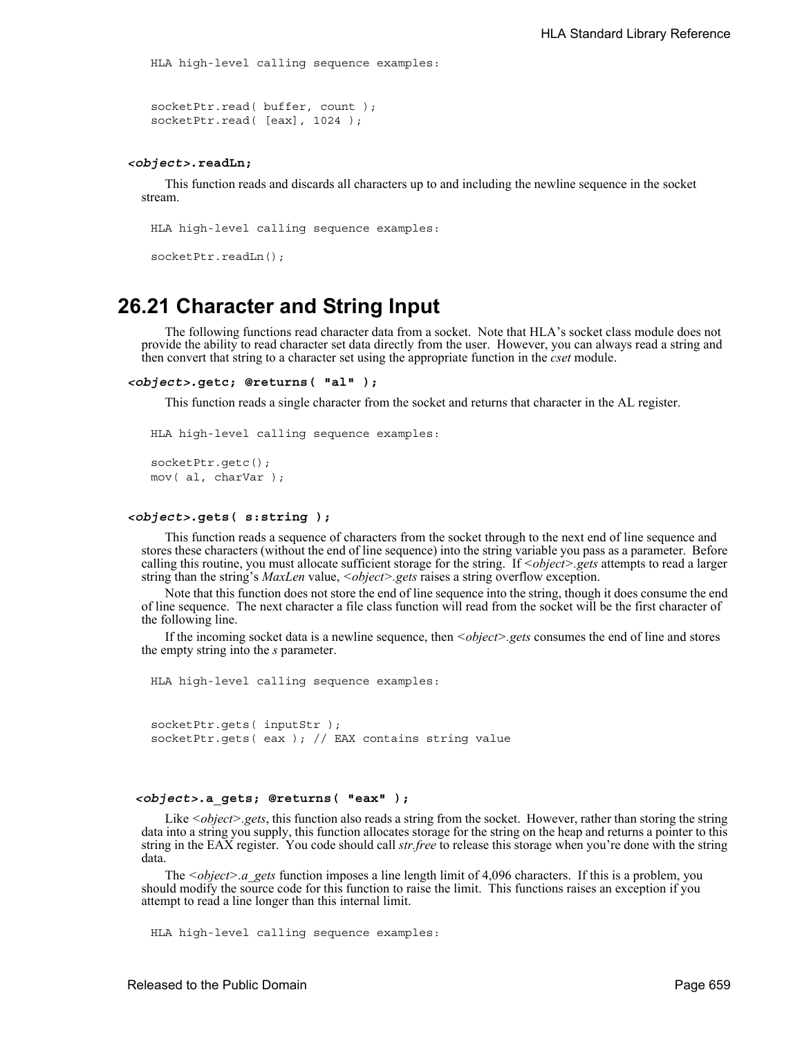HLA high-level calling sequence examples:

```
socketPtr.read( buffer, count );
socketPtr.read( [eax], 1024 );
```
#### *<object>***.readLn;**

This function reads and discards all characters up to and including the newline sequence in the socket stream.

```
HLA high-level calling sequence examples:
```
socketPtr.readLn();

## **26.21 Character and String Input**

The following functions read character data from a socket. Note that HLA's socket class module does not provide the ability to read character set data directly from the user. However, you can always read a string and then convert that string to a character set using the appropriate function in the *cset* module.

```
<object>.getc; @returns( "al" );
```
This function reads a single character from the socket and returns that character in the AL register.

```
HLA high-level calling sequence examples:
```
socketPtr.getc(); mov( al, charVar );

## *<object>***.gets( s:string );**

This function reads a sequence of characters from the socket through to the next end of line sequence and stores these characters (without the end of line sequence) into the string variable you pass as a parameter. Before calling this routine, you must allocate sufficient storage for the string. If *<object>.gets* attempts to read a larger string than the string's *MaxLen* value, *<object>.gets* raises a string overflow exception.

Note that this function does not store the end of line sequence into the string, though it does consume the end of line sequence. The next character a file class function will read from the socket will be the first character of the following line.

If the incoming socket data is a newline sequence, then *<object>.gets* consumes the end of line and stores the empty string into the *s* parameter.

HLA high-level calling sequence examples:

```
socketPtr.gets( inputStr );
socketPtr.gets( eax ); // EAX contains string value
```
### *<object>***.a\_gets; @returns( "eax" );**

Like *<object>.gets*, this function also reads a string from the socket. However, rather than storing the string data into a string you supply, this function allocates storage for the string on the heap and returns a pointer to this string in the EAX register. You code should call *str.free* to release this storage when you're done with the string data.

The *<object>.a\_gets* function imposes a line length limit of 4,096 characters. If this is a problem, you should modify the source code for this function to raise the limit. This functions raises an exception if you attempt to read a line longer than this internal limit.

HLA high-level calling sequence examples: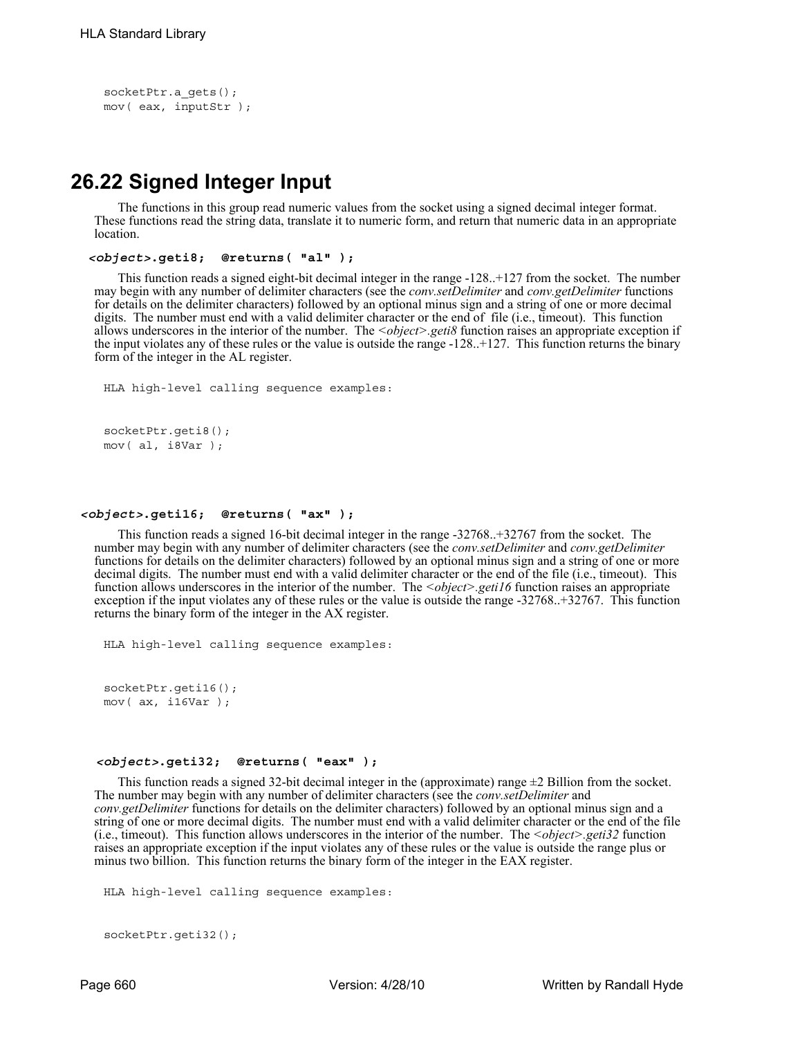```
socketPtr.a gets();
mov( eax, inputStr );
```
# **26.22 Signed Integer Input**

The functions in this group read numeric values from the socket using a signed decimal integer format. These functions read the string data, translate it to numeric form, and return that numeric data in an appropriate location.

```
<object>.geti8; @returns( "al" );
```
This function reads a signed eight-bit decimal integer in the range -128..+127 from the socket. The number may begin with any number of delimiter characters (see the *conv.setDelimiter* and *conv.getDelimiter* functions for details on the delimiter characters) followed by an optional minus sign and a string of one or more decimal digits. The number must end with a valid delimiter character or the end of file (i.e., timeout). This function allows underscores in the interior of the number. The *<object>.geti8* function raises an appropriate exception if the input violates any of these rules or the value is outside the range -128..+127. This function returns the binary form of the integer in the AL register.

```
HLA high-level calling sequence examples:
```

```
socketPtr.geti8();
mov( al, i8Var );
```
#### *<object>***.geti16; @returns( "ax" );**

This function reads a signed 16-bit decimal integer in the range -32768..+32767 from the socket. The number may begin with any number of delimiter characters (see the *conv.setDelimiter* and *conv.getDelimiter* functions for details on the delimiter characters) followed by an optional minus sign and a string of one or more decimal digits. The number must end with a valid delimiter character or the end of the file (i.e., timeout). This function allows underscores in the interior of the number. The *<object>.geti16* function raises an appropriate exception if the input violates any of these rules or the value is outside the range -32768..+32767. This function returns the binary form of the integer in the AX register.

```
HLA high-level calling sequence examples:
```

```
socketPtr.geti16();
mov( ax, i16Var );
```

```
 <object>.geti32; @returns( "eax" );
```
This function reads a signed 32-bit decimal integer in the (approximate) range  $\pm 2$  Billion from the socket. The number may begin with any number of delimiter characters (see the *conv.setDelimiter* and *conv.getDelimiter* functions for details on the delimiter characters) followed by an optional minus sign and a string of one or more decimal digits. The number must end with a valid delimiter character or the end of the file (i.e., timeout). This function allows underscores in the interior of the number. The *<object>.geti32* function raises an appropriate exception if the input violates any of these rules or the value is outside the range plus or minus two billion. This function returns the binary form of the integer in the EAX register.

```
HLA high-level calling sequence examples:
```

```
socketPtr.geti32();
```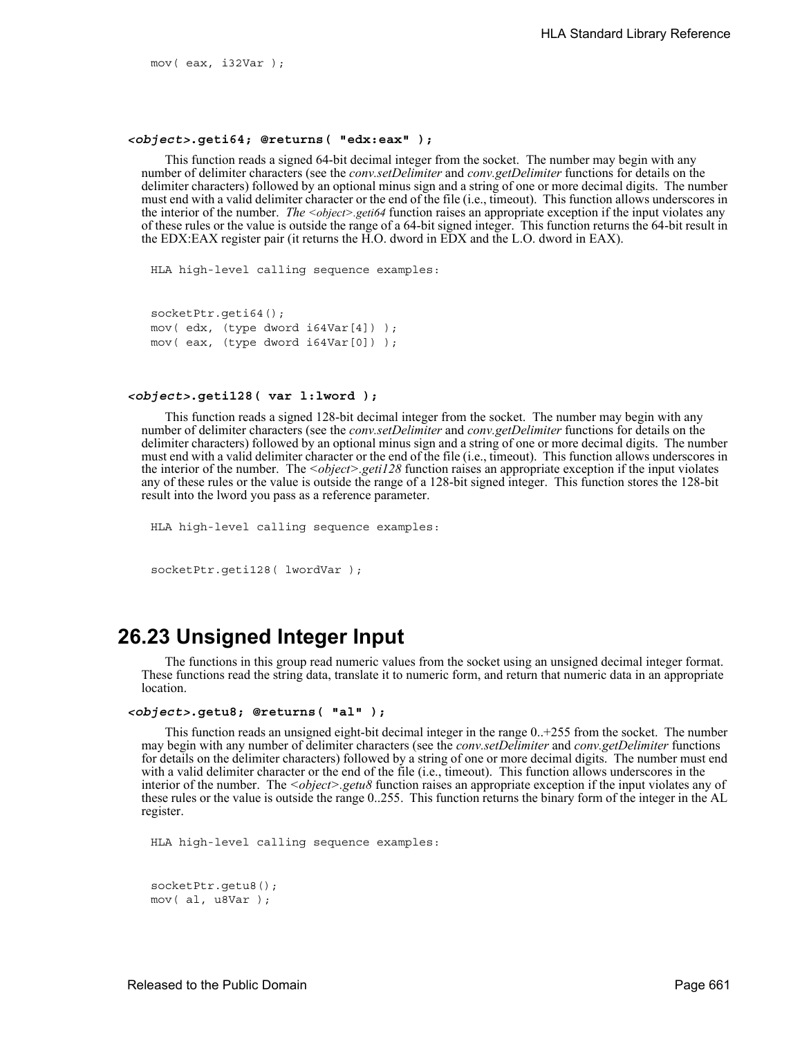mov( eax, i32Var );

## *<object>***.geti64; @returns( "edx:eax" );**

This function reads a signed 64-bit decimal integer from the socket. The number may begin with any number of delimiter characters (see the *conv.setDelimiter* and *conv.getDelimiter* functions for details on the delimiter characters) followed by an optional minus sign and a string of one or more decimal digits. The number must end with a valid delimiter character or the end of the file (i.e., timeout). This function allows underscores in the interior of the number. *The <object>.geti64* function raises an appropriate exception if the input violates any of these rules or the value is outside the range of a 64-bit signed integer. This function returns the 64-bit result in the EDX:EAX register pair (it returns the H.O. dword in EDX and the L.O. dword in EAX).

HLA high-level calling sequence examples:

```
socketPtr.geti64();
mov( edx, (type dword i64Var[4]) );
mov( eax, (type dword i64Var[0]) );
```
## *<object>***.geti128( var l:lword );**

This function reads a signed 128-bit decimal integer from the socket. The number may begin with any number of delimiter characters (see the *conv.setDelimiter* and *conv.getDelimiter* functions for details on the delimiter characters) followed by an optional minus sign and a string of one or more decimal digits. The number must end with a valid delimiter character or the end of the file (i.e., timeout). This function allows underscores in the interior of the number. The *<object>.geti128* function raises an appropriate exception if the input violates any of these rules or the value is outside the range of a 128-bit signed integer. This function stores the 128-bit result into the lword you pass as a reference parameter.

```
HLA high-level calling sequence examples:
```

```
socketPtr.geti128( lwordVar );
```
## **26.23 Unsigned Integer Input**

The functions in this group read numeric values from the socket using an unsigned decimal integer format. These functions read the string data, translate it to numeric form, and return that numeric data in an appropriate location.

```
<object>.getu8; @returns( "al" );
```
This function reads an unsigned eight-bit decimal integer in the range 0..+255 from the socket. The number may begin with any number of delimiter characters (see the *conv.setDelimiter* and *conv.getDelimiter* functions for details on the delimiter characters) followed by a string of one or more decimal digits. The number must end with a valid delimiter character or the end of the file (i.e., timeout). This function allows underscores in the interior of the number. The *<object>.getu8* function raises an appropriate exception if the input violates any of these rules or the value is outside the range 0..255. This function returns the binary form of the integer in the AL register.

HLA high-level calling sequence examples:

```
socketPtr.getu8();
mov( al, u8Var );
```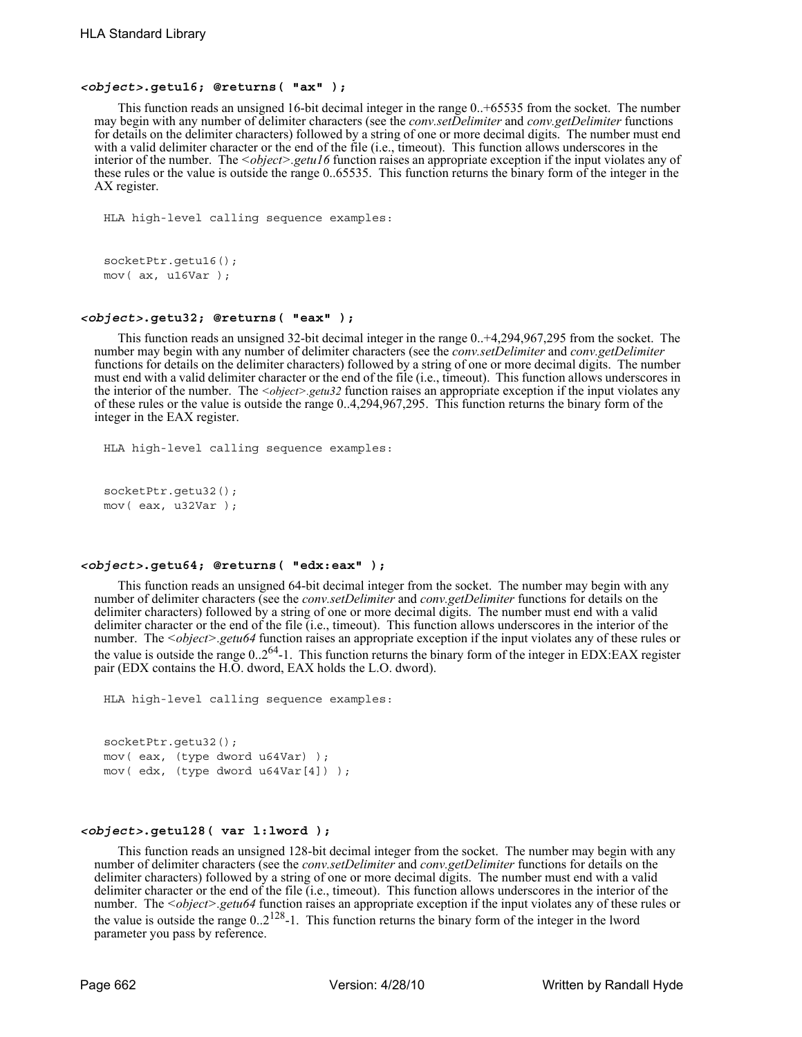## *<object>***.getu16; @returns( "ax" );**

This function reads an unsigned 16-bit decimal integer in the range 0..+65535 from the socket. The number may begin with any number of delimiter characters (see the *conv.setDelimiter* and *conv.getDelimiter* functions for details on the delimiter characters) followed by a string of one or more decimal digits. The number must end with a valid delimiter character or the end of the file (i.e., timeout). This function allows underscores in the interior of the number. The *<object>.getu16* function raises an appropriate exception if the input violates any of these rules or the value is outside the range 0..65535. This function returns the binary form of the integer in the AX register.

```
HLA high-level calling sequence examples:
```

```
socketPtr.getu16();
mov( ax, u16Var );
```
#### *<object>***.getu32; @returns( "eax" );**

This function reads an unsigned 32-bit decimal integer in the range 0..+4,294,967,295 from the socket. The number may begin with any number of delimiter characters (see the *conv.setDelimiter* and *conv.getDelimiter* functions for details on the delimiter characters) followed by a string of one or more decimal digits. The number must end with a valid delimiter character or the end of the file (i.e., timeout). This function allows underscores in the interior of the number. The *<object>.getu32* function raises an appropriate exception if the input violates any of these rules or the value is outside the range 0..4,294,967,295. This function returns the binary form of the integer in the EAX register.

```
HLA high-level calling sequence examples:
```

```
socketPtr.getu32();
mov( eax, u32Var );
```
## *<object>***.getu64; @returns( "edx:eax" );**

This function reads an unsigned 64-bit decimal integer from the socket. The number may begin with any number of delimiter characters (see the *conv.setDelimiter* and *conv.getDelimiter* functions for details on the delimiter characters) followed by a string of one or more decimal digits. The number must end with a valid delimiter character or the end of the file (i.e., timeout). This function allows underscores in the interior of the number. The *<object>.getu64* function raises an appropriate exception if the input violates any of these rules or the value is outside the range  $0.2^{64}$ -1. This function returns the binary form of the integer in EDX:EAX register pair (EDX contains the H.O. dword, EAX holds the L.O. dword).

```
HLA high-level calling sequence examples:
```

```
socketPtr.getu32();
mov( eax, (type dword u64Var) );
mov( edx, (type dword u64Var[4]) );
```
## *<object>***.getu128( var l:lword );**

This function reads an unsigned 128-bit decimal integer from the socket. The number may begin with any number of delimiter characters (see the *conv.setDelimiter* and *conv.getDelimiter* functions for details on the delimiter characters) followed by a string of one or more decimal digits. The number must end with a valid delimiter character or the end of the file (i.e., timeout). This function allows underscores in the interior of the number. The *<object>.getu64* function raises an appropriate exception if the input violates any of these rules or the value is outside the range  $0.2^{128}$ -1. This function returns the binary form of the integer in the lword parameter you pass by reference.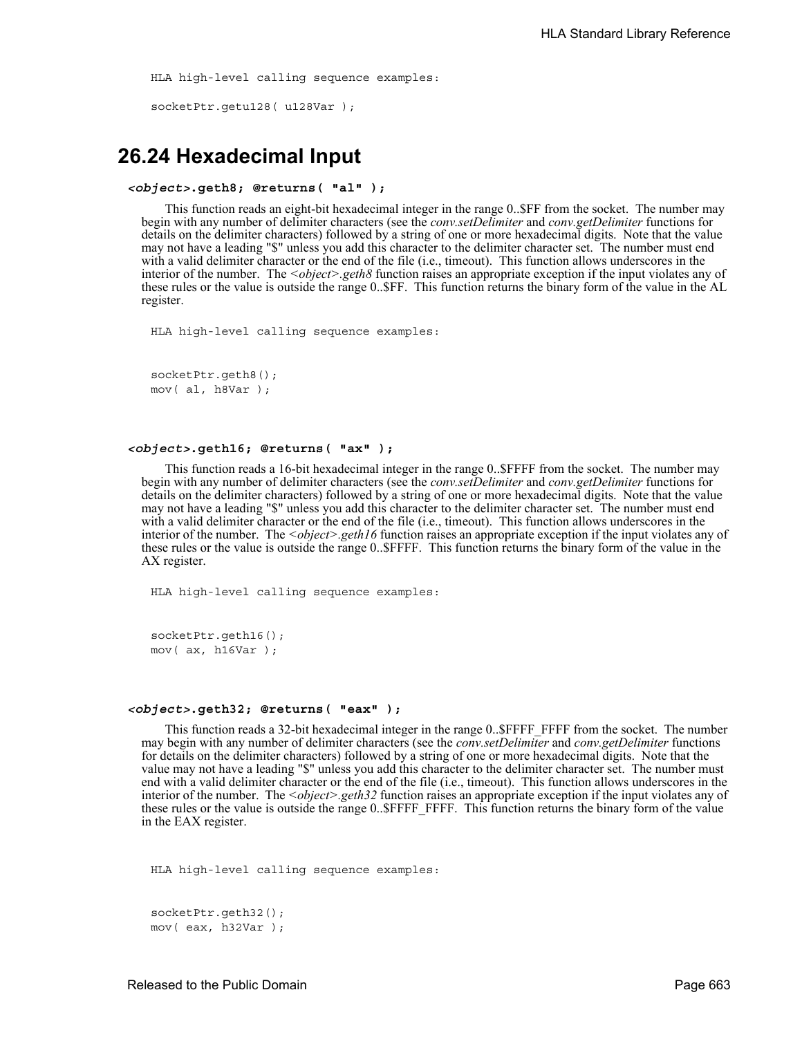```
HLA high-level calling sequence examples:
socketPtr.getu128( u128Var );
```
# **26.24 Hexadecimal Input**

```
<object>.geth8; @returns( "al" );
```
This function reads an eight-bit hexadecimal integer in the range 0..\$FF from the socket. The number may begin with any number of delimiter characters (see the *conv.setDelimiter* and *conv.getDelimiter* functions for details on the delimiter characters) followed by a string of one or more hexadecimal digits. Note that the value may not have a leading "\$" unless you add this character to the delimiter character set. The number must end with a valid delimiter character or the end of the file (i.e., timeout). This function allows underscores in the interior of the number. The *<object>.geth8* function raises an appropriate exception if the input violates any of these rules or the value is outside the range 0..\$FF. This function returns the binary form of the value in the AL register.

HLA high-level calling sequence examples:

```
socketPtr.geth8();
mov( al, h8Var );
```
#### *<object>***.geth16; @returns( "ax" );**

This function reads a 16-bit hexadecimal integer in the range 0..\$FFFF from the socket. The number may begin with any number of delimiter characters (see the *conv.setDelimiter* and *conv.getDelimiter* functions for details on the delimiter characters) followed by a string of one or more hexadecimal digits. Note that the value may not have a leading "\$" unless you add this character to the delimiter character set. The number must end with a valid delimiter character or the end of the file (i.e., timeout). This function allows underscores in the interior of the number. The *<object>.geth16* function raises an appropriate exception if the input violates any of these rules or the value is outside the range 0..\$FFFF. This function returns the binary form of the value in the AX register.

HLA high-level calling sequence examples:

socketPtr.geth16(); mov( ax, h16Var );

#### *<object>***.geth32; @returns( "eax" );**

This function reads a 32-bit hexadecimal integer in the range 0..\$FFFF\_FFFF from the socket. The number may begin with any number of delimiter characters (see the *conv.setDelimiter* and *conv.getDelimiter* functions for details on the delimiter characters) followed by a string of one or more hexadecimal digits. Note that the value may not have a leading "\$" unless you add this character to the delimiter character set. The number must end with a valid delimiter character or the end of the file (i.e., timeout). This function allows underscores in the interior of the number. The *<object>.geth32* function raises an appropriate exception if the input violates any of these rules or the value is outside the range 0..\$FFFF\_FFFF. This function returns the binary form of the value in the EAX register.

```
HLA high-level calling sequence examples:
```

```
socketPtr.geth32();
mov( eax, h32Var );
```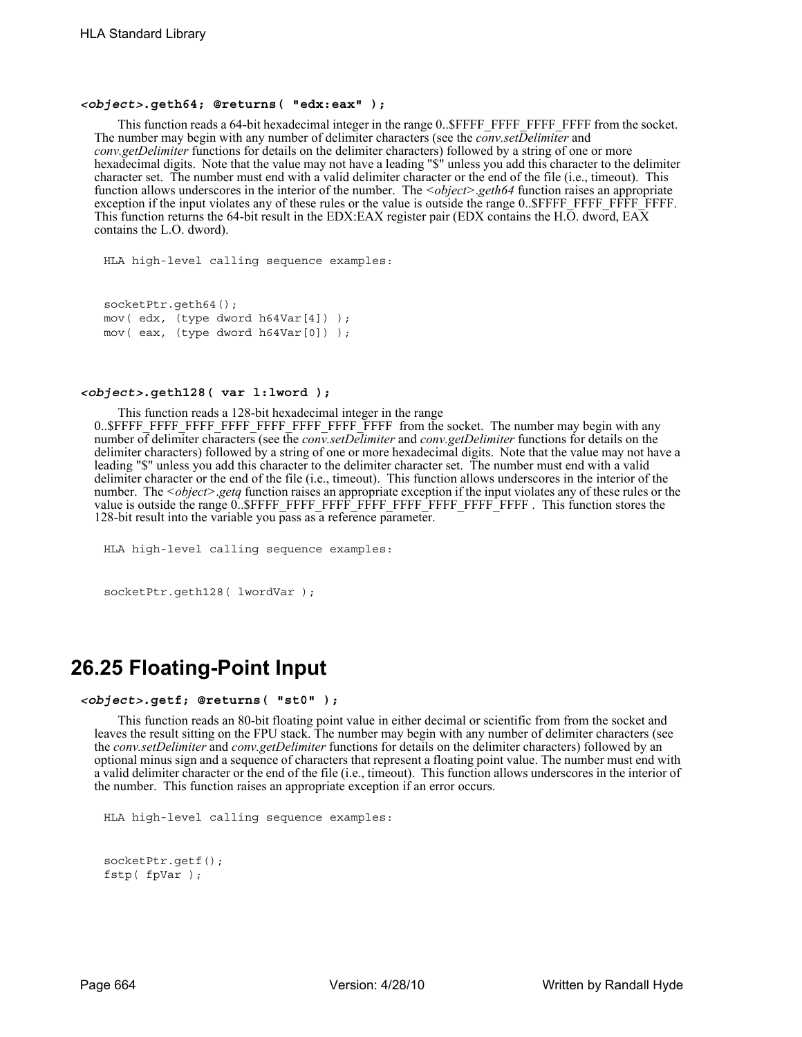## *<object>***.geth64; @returns( "edx:eax" );**

This function reads a 64-bit hexadecimal integer in the range 0..\$FFFF\_FFFF\_FFFF\_FFFF from the socket. The number may begin with any number of delimiter characters (see the *conv.setDelimiter* and *conv.getDelimiter* functions for details on the delimiter characters) followed by a string of one or more hexadecimal digits. Note that the value may not have a leading "\$" unless you add this character to the delimiter character set. The number must end with a valid delimiter character or the end of the file (i.e., timeout). This function allows underscores in the interior of the number. The *<object>*.*geth64* function raises an appropriate exception if the input violates any of these rules or the value is outside the range 0..\$FFFF\_FFFF\_FFFF\_FFFFF. This function returns the 64-bit result in the EDX:EAX register pair (EDX contains the H.O. dword, EAX contains the L.O. dword).

HLA high-level calling sequence examples:

```
socketPtr.geth64();
mov( edx, (type dword h64Var[4]) );
mov( eax, (type dword h64Var[0]) );
```
#### *<object>***.geth128( var l:lword );**

This function reads a 128-bit hexadecimal integer in the range 0..\$FFFF\_FFFF\_FFFF\_FFFF\_FFFF\_FFFF\_FFFF\_FFFF from the socket. The number may begin with any number of delimiter characters (see the *conv.setDelimiter* and *conv.getDelimiter* functions for details on the

delimiter characters) followed by a string of one or more hexadecimal digits. Note that the value may not have a leading "\$" unless you add this character to the delimiter character set. The number must end with a valid delimiter character or the end of the file (i.e., timeout). This function allows underscores in the interior of the number. The *<object>*.*getq* function raises an appropriate exception if the input violates any of these rules or the value is outside the range 0..\$FFFF\_FFFF\_FFFF\_FFFF\_FFFF\_FFFF\_FFFF\_FFFF . This function stores the 128-bit result into the variable you pass as a reference parameter.

```
HLA high-level calling sequence examples:
```
# **26.25 Floating-Point Input**

#### *<object>***.getf; @returns( "st0" );**

socketPtr.geth128( lwordVar );

This function reads an 80-bit floating point value in either decimal or scientific from from the socket and leaves the result sitting on the FPU stack. The number may begin with any number of delimiter characters (see the *conv.setDelimiter* and *conv.getDelimiter* functions for details on the delimiter characters) followed by an optional minus sign and a sequence of characters that represent a floating point value. The number must end with a valid delimiter character or the end of the file (i.e., timeout). This function allows underscores in the interior of the number. This function raises an appropriate exception if an error occurs.

HLA high-level calling sequence examples:

```
socketPtr.getf();
fstp( fpVar );
```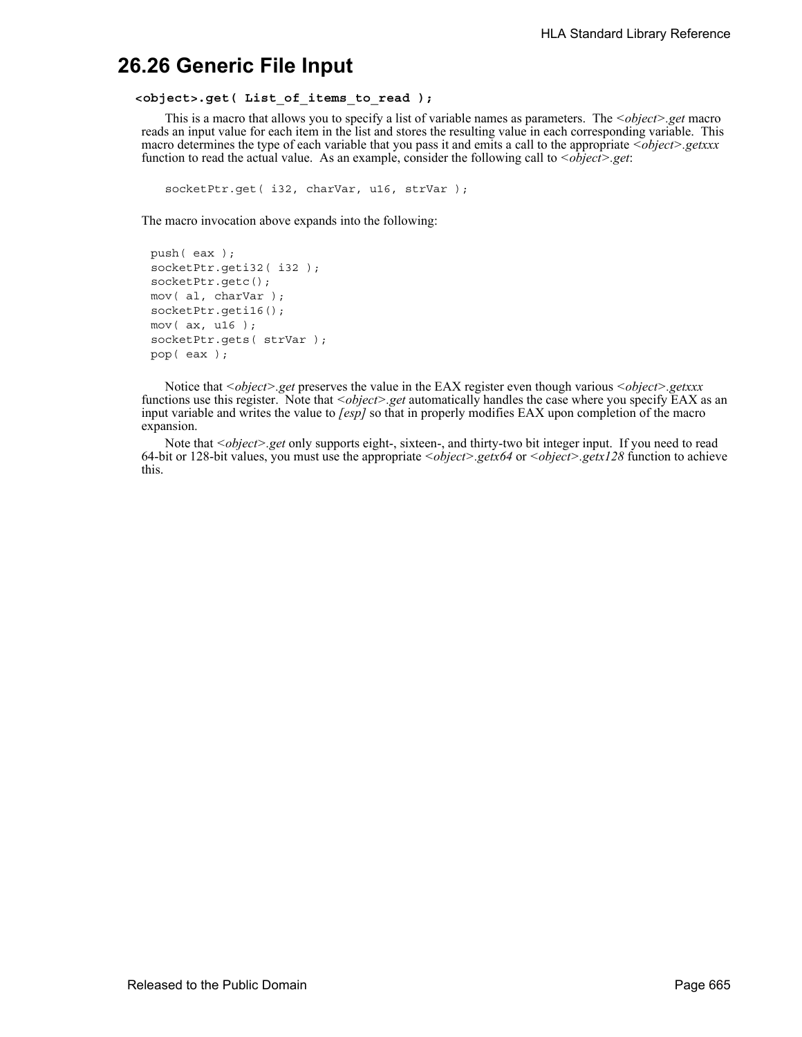# **26.26 Generic File Input**

## **<object>.get( List\_of\_items\_to\_read );**

This is a macro that allows you to specify a list of variable names as parameters. The *<object>.get* macro reads an input value for each item in the list and stores the resulting value in each corresponding variable. This macro determines the type of each variable that you pass it and emits a call to the appropriate *<object>.getxxx* function to read the actual value. As an example, consider the following call to *<object>.get*:

socketPtr.get( i32, charVar, u16, strVar );

The macro invocation above expands into the following:

```
push( eax );
socketPtr.geti32(i32);
socketPtr.getc();
mov( al, charVar );
socketPtr.geti16();
mov( ax, u16 );
socketPtr.gets( strVar );
pop( eax );
```
Notice that *<object>.get* preserves the value in the EAX register even though various *<object>.getxxx* functions use this register. Note that <*object>.get* automatically handles the case where you specify EAX as an input variable and writes the value to *[esp]* so that in properly modifies EAX upon completion of the macro expansion.

Note that *<object>.get* only supports eight-, sixteen-, and thirty-two bit integer input. If you need to read 64-bit or 128-bit values, you must use the appropriate *<object>.getx64* or *<object>.getx128* function to achieve this.